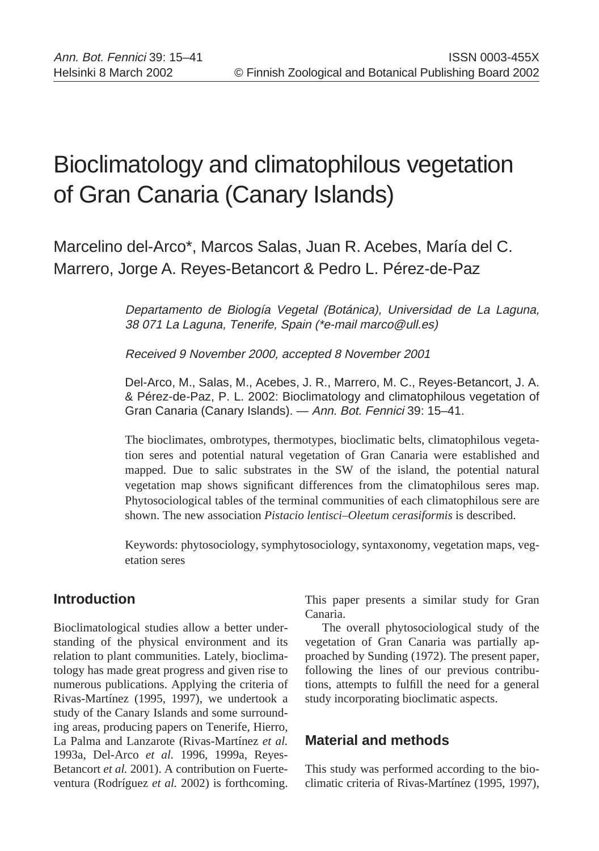# Bioclimatology and climatophilous vegetation of Gran Canaria (Canary Islands)

Marcelino del-Arco\*, Marcos Salas, Juan R. Acebes, María del C. Marrero, Jorge A. Reyes-Betancort & Pedro L. Pérez-de-Paz

> Departamento de Biología Vegetal (Botánica), Universidad de La Laguna, 38 071 La Laguna, Tenerife, Spain (\*e-mail marco@ull.es)

Received 9 November 2000, accepted 8 November 2001

Del-Arco, M., Salas, M., Acebes, J. R., Marrero, M. C., Reyes-Betancort, J. A. & Pérez-de-Paz, P. L. 2002: Bioclimatology and climatophilous vegetation of Gran Canaria (Canary Islands). — Ann. Bot. Fennici 39: 15–41.

The bioclimates, ombrotypes, thermotypes, bioclimatic belts, climatophilous vegetation seres and potential natural vegetation of Gran Canaria were established and mapped. Due to salic substrates in the SW of the island, the potential natural vegetation map shows significant differences from the climatophilous seres map. Phytosociological tables of the terminal communities of each climatophilous sere are shown. The new association *Pistacio lentisci–Oleetum cerasiformis* is described.

Keywords: phytosociology, symphytosociology, syntaxonomy, vegetation maps, vegetation seres

# **Introduction**

Bioclimatological studies allow a better understanding of the physical environment and its relation to plant communities. Lately, bioclimatology has made great progress and given rise to numerous publications. Applying the criteria of Rivas-Martínez (1995, 1997), we undertook a study of the Canary Islands and some surrounding areas, producing papers on Tenerife, Hierro, La Palma and Lanzarote (Rivas-Martínez *et al.* 1993a, Del-Arco *et al.* 1996, 1999a, Reyes-Betancort *et al.* 2001). A contribution on Fuerteventura (Rodríguez *et al.* 2002) is forthcoming.

This paper presents a similar study for Gran Canaria.

The overall phytosociological study of the vegetation of Gran Canaria was partially approached by Sunding (1972). The present paper, following the lines of our previous contributions, attempts to fulfill the need for a general study incorporating bioclimatic aspects.

# **Material and methods**

This study was performed according to the bioclimatic criteria of Rivas-Martínez (1995, 1997),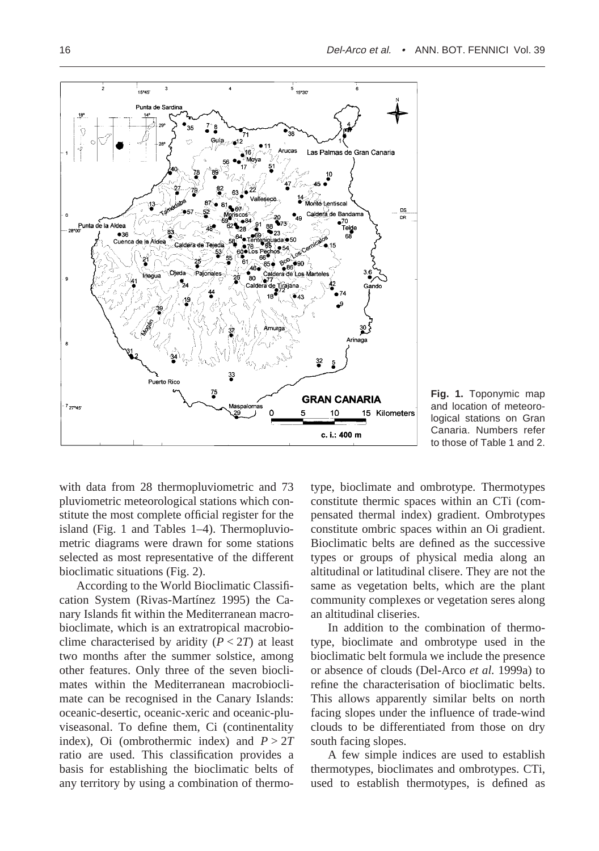



with data from 28 thermopluviometric and 73 pluviometric meteorological stations which constitute the most complete official register for the island (Fig. 1 and Tables 1–4). Thermopluviometric diagrams were drawn for some stations selected as most representative of the different bioclimatic situations (Fig. 2).

According to the World Bioclimatic Classification System (Rivas-Martínez 1995) the Canary Islands fit within the Mediterranean macrobioclimate, which is an extratropical macrobioclime characterised by aridity  $(P < 2T)$  at least two months after the summer solstice, among other features. Only three of the seven bioclimates within the Mediterranean macrobioclimate can be recognised in the Canary Islands: oceanic-desertic, oceanic-xeric and oceanic-pluviseasonal. To define them, Ci (continentality index), Oi (ombrothermic index) and  $P > 2T$ ratio are used. This classification provides a basis for establishing the bioclimatic belts of any territory by using a combination of thermotype, bioclimate and ombrotype. Thermotypes constitute thermic spaces within an CTi (compensated thermal index) gradient. Ombrotypes constitute ombric spaces within an Oi gradient. Bioclimatic belts are defined as the successive types or groups of physical media along an altitudinal or latitudinal clisere. They are not the same as vegetation belts, which are the plant community complexes or vegetation seres along an altitudinal cliseries.

In addition to the combination of thermotype, bioclimate and ombrotype used in the bioclimatic belt formula we include the presence or absence of clouds (Del-Arco *et al.* 1999a) to refine the characterisation of bioclimatic belts. This allows apparently similar belts on north facing slopes under the influence of trade-wind clouds to be differentiated from those on dry south facing slopes.

A few simple indices are used to establish thermotypes, bioclimates and ombrotypes. CTi, used to establish thermotypes, is defined as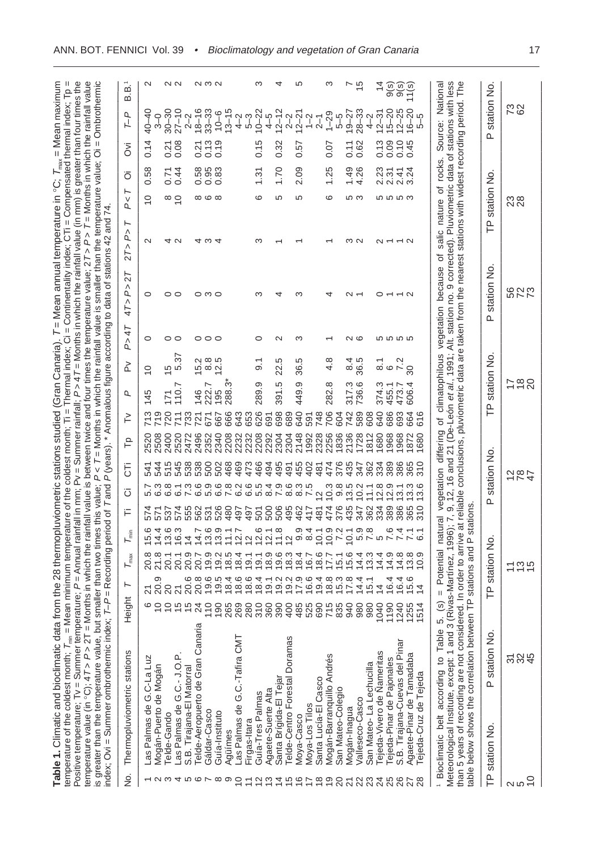| from the 28 thermopluviometric stations studied (Gran Canaria). T = Mean annual temperature in °C; T <sub>max</sub> = Mean maximum<br>Table 1. Climatic and bioclimatic data f | /lean minimum temperature of the coldest month; Ti = Thermal index; Ci = Continentality index; CTi = Compensated thermal index; Tp =<br>temperature of the coldest month; $T_{min} = M_0$ | Positive temperature; Tv = Summer temperature; P = Annual rainfall in mm; Pv = Summer rainfall; P> 47 = Months in which the rainfall value (in mm) is greater than four times the | temperature value (in °C); 47 > P > 27 = Months in which the rainfall value is between twice and four times the temperature value; 27 > P > 7 = Months in which the rainfall value | smaller than two times this value; P < T = Months in which the rainfall value is smaller than the temperature value; Oi = Ombrothermic<br>is greater than the temperature value, but a | index; Ovi = Summer ombrothermic index; T-P = Recording period of T and P (years). * Anomalous figure according to data of stations 42 and 74. |
|--------------------------------------------------------------------------------------------------------------------------------------------------------------------------------|-------------------------------------------------------------------------------------------------------------------------------------------------------------------------------------------|-----------------------------------------------------------------------------------------------------------------------------------------------------------------------------------|------------------------------------------------------------------------------------------------------------------------------------------------------------------------------------|----------------------------------------------------------------------------------------------------------------------------------------------------------------------------------------|------------------------------------------------------------------------------------------------------------------------------------------------|
|                                                                                                                                                                                |                                                                                                                                                                                           |                                                                                                                                                                                   |                                                                                                                                                                                    |                                                                                                                                                                                        |                                                                                                                                                |

——————————————————————————————————————————————————————————————————————

|          | No. Thermopluviometric stations                                                                                                                                                                                            |                         | ight<br>Ξ      | ⊢                                                  | $T_{\text{max}}$                | $\mathsf{L}_{\mathsf{min}}$   | F             | Б<br>σ                                                                                                                                                 | ۴                   | `∕  | σ                       | ≿                       | P>47               | 47 > P > 27                                                                                                                                    | ⊢<br>2T > P > | ⊢<br>.<br>Q                | õ                                    | δ      | T-P                               | B.1<br>B.1    |  |
|----------|----------------------------------------------------------------------------------------------------------------------------------------------------------------------------------------------------------------------------|-------------------------|----------------|----------------------------------------------------|---------------------------------|-------------------------------|---------------|--------------------------------------------------------------------------------------------------------------------------------------------------------|---------------------|-----|-------------------------|-------------------------|--------------------|------------------------------------------------------------------------------------------------------------------------------------------------|---------------|----------------------------|--------------------------------------|--------|-----------------------------------|---------------|--|
|          | Las Palmas de G.C-La Luz                                                                                                                                                                                                   |                         |                | $219$<br>$20.9$                                    | 20.8<br>21.8                    | ဖ<br>ت<br>ما                  |               | 54 <sup>.</sup>                                                                                                                                        | 2520                | 713 | 145                     | $\overline{C}$          | 0                  | $\circ$                                                                                                                                        | $\sim$        | $\frac{1}{2}$              | 0.58                                 | 0.14   | $40 - 40$                         |               |  |
|          | Mogán-Puerto de Mogán                                                                                                                                                                                                      |                         |                |                                                    |                                 | 14.4                          |               | 544                                                                                                                                                    | 2508                |     |                         |                         |                    |                                                                                                                                                |               |                            |                                      |        | $\frac{1}{3}$                     |               |  |
|          | Telde-Gando                                                                                                                                                                                                                |                         |                |                                                    |                                 | 13.6                          | 537           |                                                                                                                                                        | 2400<br>515         | 720 |                         |                         | 00                 | 00                                                                                                                                             |               |                            | 0.71                                 | 0.21   | $30 - 30$                         |               |  |
|          | Las Palmas de G.C.- J.O.P.                                                                                                                                                                                                 |                         |                | <u>ន្ត<br/>និង</u><br>ខ្លួ                         | 20.1                            | 16.3                          | 574           | 545<br>フ さ 8 1 3 6 9<br>こ 6 6 0 7 0 5                                                                                                                  | 2520                | 711 | 110.7                   | $\frac{15}{5.37}$       |                    |                                                                                                                                                | 4 U           | $\frac{1}{2}$              | 0.44                                 | 0.08   | $27 - 10$                         | N N           |  |
| 4 r o r  | S.B. Tirajana-El Matorral                                                                                                                                                                                                  |                         |                |                                                    | 20.7<br>20.7                    | $\overline{4}$                | 555           | 538                                                                                                                                                    | 2472                | 733 |                         |                         |                    |                                                                                                                                                |               |                            |                                      |        | $2 - 2$                           |               |  |
|          | Telde-Aeropuerto de Gran Canaria                                                                                                                                                                                           |                         |                | 20.8                                               |                                 | 14.7                          | 562           | 538                                                                                                                                                    | 2496                | 721 | 146                     | 5<br>10 8 10<br>10 8 11 |                    |                                                                                                                                                |               |                            | 88<br>0.983<br>0.0                   | 0.21   | $18 - 16$                         |               |  |
|          | Gáldar-Casco                                                                                                                                                                                                               |                         |                | 19.6                                               | 19.9                            | 13.6                          | 531           |                                                                                                                                                        | 2352<br>500         | 671 | 222.7                   |                         | 000                | 0 M O                                                                                                                                          | ⊄ ო           | $\infty$ $\infty$ $\infty$ |                                      | 0.13   | $33 - 33$                         | ຕ ຕ ຕ         |  |
| $\infty$ | Guía-Instituto                                                                                                                                                                                                             |                         |                | 19.5                                               | 19.2                            | 13.9                          | 526           | 502                                                                                                                                                    | 2340                | 667 | 195                     |                         |                    |                                                                                                                                                |               |                            |                                      | 0.19   | $10 - 6$                          |               |  |
|          | Agüímes                                                                                                                                                                                                                    |                         |                |                                                    |                                 |                               | 480           |                                                                                                                                                        | 2208<br>468         | 666 | 288.3*                  |                         |                    |                                                                                                                                                |               |                            |                                      |        | $13 - 15$                         |               |  |
|          | Las Palmas de G.C.-Tafira CMT                                                                                                                                                                                              |                         |                | $70000$<br>$00000$<br>$7004$                       | $18.5$<br>$18.4$                | $\frac{11}{2}$                | 497           | $\begin{array}{l} \circledcirc \circledcirc \circledcirc \circledcirc \\ \circledcirc \circledcirc \circledcirc \circledcirc \circledcirc \end{array}$ | 2232<br>2232<br>469 | 643 |                         |                         |                    |                                                                                                                                                |               |                            |                                      |        | $4-2$                             |               |  |
|          | Firgas-Itara                                                                                                                                                                                                               |                         |                |                                                    | 19.1                            |                               | 497           | 473                                                                                                                                                    |                     | 653 |                         |                         |                    |                                                                                                                                                |               |                            |                                      |        | $5-3$                             |               |  |
|          | Guía-Tres Palmas                                                                                                                                                                                                           |                         |                |                                                    | 19.1                            | $2007$<br>$207$               | 501           | 466                                                                                                                                                    | 2208                | 626 | 289.9                   | $\overline{9}$          | ○                  |                                                                                                                                                |               | ဖ                          | 1.31                                 | 0.15   | $10 - 22$                         |               |  |
| က        | Agaete-Suerte Alta                                                                                                                                                                                                         |                         |                | 19.1                                               |                                 |                               | 500           | 494<br>8.4                                                                                                                                             | 2292                | 691 |                         |                         |                    |                                                                                                                                                |               |                            |                                      |        | $4 - 5$                           |               |  |
| 4        | Santa Brígida-El Tejar                                                                                                                                                                                                     |                         |                | $29296$<br>$29796$                                 | 0<br>0 0 0 0 4 L<br>0 0 0 0 0 0 | $\frac{8}{10}$ $\frac{8}{10}$ | 506           | 495<br>0.600.10<br>7.600.10                                                                                                                            | 2304                | 698 | 391.5                   | 22.5                    | $\scriptstyle\sim$ |                                                                                                                                                |               | မာ                         | 1.70                                 | 0.32   | $12 - 12$                         |               |  |
| ഥ        | Telde-Centro Forestal Doramas                                                                                                                                                                                              |                         |                |                                                    |                                 |                               | 495           | 491                                                                                                                                                    | 2304                | 689 |                         |                         |                    |                                                                                                                                                |               |                            |                                      |        | $2 - 2$                           |               |  |
| G        | Moya-Casco                                                                                                                                                                                                                 |                         |                |                                                    |                                 |                               | 462           |                                                                                                                                                        | 2148<br>455         | 640 | 449.9                   | 36.5                    | ო                  |                                                                                                                                                |               | 5                          | 2.09                                 | 0.57   | $12 - 21$                         |               |  |
|          | Moya-Los Tilos                                                                                                                                                                                                             |                         |                |                                                    |                                 | 8.4                           | 417           | 402                                                                                                                                                    | 1992                | 591 |                         |                         |                    |                                                                                                                                                |               |                            |                                      |        | $1 - 2$                           |               |  |
| $\infty$ | Santa Lucía-El Casco                                                                                                                                                                                                       |                         |                | 19.4                                               |                                 | 10.1                          | 481           | 481<br>$\overline{a}$                                                                                                                                  | 2328                | 748 |                         |                         |                    |                                                                                                                                                |               |                            |                                      |        | $2-1$                             |               |  |
| တ        | Mogán-Barranquillo Andrés                                                                                                                                                                                                  |                         |                | $\begin{array}{c} 8.8 \\ 15.8 \\ 17.8 \end{array}$ |                                 | $0.9$<br>7.2                  | 474           | 474<br>compo<br>Compo                                                                                                                                  | 2256                | 706 | 282.8                   | 4.8                     |                    |                                                                                                                                                |               | ဖ                          | 1.25                                 | 0.07   | $1 - 29$                          |               |  |
|          | San Mateo-Colegio                                                                                                                                                                                                          |                         |                |                                                    |                                 |                               | 376           | 376                                                                                                                                                    | 1836                | 604 |                         |                         |                    |                                                                                                                                                |               |                            |                                      |        | 5–5                               |               |  |
|          | Mogán-Inagua                                                                                                                                                                                                               |                         |                |                                                    |                                 |                               | 435           | 435                                                                                                                                                    | 2136                | 742 | 317.3                   | 8.5<br>86.9             | N (0               |                                                                                                                                                | ന വ           | မာ က                       | $1.49$<br>$4.26$                     | 0.11   | $19 - 27$                         |               |  |
|          | Valleseco-Casco                                                                                                                                                                                                            |                         |                | 14.4                                               |                                 | 0.798                         | 347           |                                                                                                                                                        | 1728<br>347         | 589 | 736.6                   |                         |                    |                                                                                                                                                |               |                            |                                      | 0.62   | $28 - 33$                         | $\frac{5}{2}$ |  |
|          | San Mateo-La Lechucilla                                                                                                                                                                                                    |                         |                | 15.1                                               | 13.3                            |                               | 362           | 362<br>$\overline{1}$                                                                                                                                  | 1812                | 608 |                         |                         |                    |                                                                                                                                                |               |                            |                                      |        | $4 - 2$                           |               |  |
|          | ejeda-Vivero de Nameritas                                                                                                                                                                                                  |                         |                | $4600$<br>$4440$                                   | 14.4                            | 5                             | 334           | 334<br>$\frac{0.8}{12.9}$                                                                                                                              | 1680                | 640 | 374.3<br>455.1<br>473.7 | వ                       |                    |                                                                                                                                                |               |                            | ន្លី ភូ <del>ភ</del> ្នុង<br>ស្គល់សំ | 0.800  | $12 - 31$                         |               |  |
|          | Fejeda-Pinar de Pajonales                                                                                                                                                                                                  |                         |                |                                                    |                                 | 7.4                           | 389           |                                                                                                                                                        | 1968<br>389         | 686 |                         | $rac{2}{7}$             | <b>5555</b>        |                                                                                                                                                |               | <b>555</b><br>55           |                                      |        | $15 - 20$                         | 9(s)<br>9(s)  |  |
|          | S.B. Tirajana-Cuevas del Pinar                                                                                                                                                                                             |                         | $124$<br>$125$ |                                                    |                                 |                               | 386           | 13.1                                                                                                                                                   | 1968<br>386         | 693 |                         |                         |                    |                                                                                                                                                |               |                            |                                      |        |                                   |               |  |
|          | Agaete-Pinar de Tamadaba                                                                                                                                                                                                   |                         |                |                                                    |                                 |                               | 365           | 365<br>13.3                                                                                                                                            | 1872                | 664 | 606.4                   | $\infty$                |                    |                                                                                                                                                |               |                            |                                      | 0.45   |                                   | $\frac{1}{s}$ |  |
|          | Tejeda-Cruz de Tejeda                                                                                                                                                                                                      |                         | $\overline{5}$ | $\overline{4}$                                     | တ္<br>$\overline{Q}$            | $\overline{6}$                | $\frac{0}{3}$ | 310<br>ဖ<br>က                                                                                                                                          | 680                 | 616 |                         |                         |                    |                                                                                                                                                |               |                            |                                      |        | $12 - 25$<br>$16 - 20$<br>$5 - 5$ |               |  |
|          | Bioclimatic belt according to                                                                                                                                                                                              | Table 5.                |                |                                                    |                                 |                               |               |                                                                                                                                                        |                     |     |                         |                         |                    | s) = Potential natural vegetation differing of climatophilous vegetation because of salic nature of rocks.                                     |               |                            |                                      |        | Source: Nationa                   |               |  |
|          | Meteorological Institute, except: 1 and 3 (Ri                                                                                                                                                                              |                         |                |                                                    |                                 |                               |               |                                                                                                                                                        |                     |     |                         |                         |                    | vas-Martínez, 1996); 7, 9, 12, 16 and 21 (De-León <i>et al.</i> , 1991; Alt. station no. 9 corrected). Pluviometric data of stations with less |               |                            |                                      |        |                                   |               |  |
|          | than 5 years of recording are not considered. In order to arrive at reliable conclusions, pluviometric data are taken from the nearest stations with widest recording period.<br>table below shows the correlation between |                         | ĥ              |                                                    | stations and P stations.        |                               |               |                                                                                                                                                        |                     |     |                         |                         |                    |                                                                                                                                                |               |                            |                                      |        |                                   | ŤРе           |  |
| ā.       | station No                                                                                                                                                                                                                 | station No.<br><b>Q</b> |                | F                                                  | station No.                     |                               | Δ.            | station No.                                                                                                                                            |                     |     | ĥ                       | station No.             |                    | station No<br>൨                                                                                                                                | $\mathsf{P}$  | station No                 |                                      | $\sim$ | station No                        |               |  |
|          |                                                                                                                                                                                                                            |                         |                |                                                    |                                 |                               |               |                                                                                                                                                        |                     |     |                         |                         |                    |                                                                                                                                                |               |                            |                                      |        |                                   |               |  |
|          |                                                                                                                                                                                                                            | 584                     |                |                                                    | $\frac{10}{10}$                 |                               |               | 787                                                                                                                                                    |                     |     | 780                     |                         |                    | <b>822</b>                                                                                                                                     |               | $\mathbb{Z}^8$             |                                      |        | 73                                |               |  |
|          |                                                                                                                                                                                                                            |                         |                |                                                    |                                 |                               |               |                                                                                                                                                        |                     |     |                         |                         |                    |                                                                                                                                                |               |                            |                                      |        |                                   |               |  |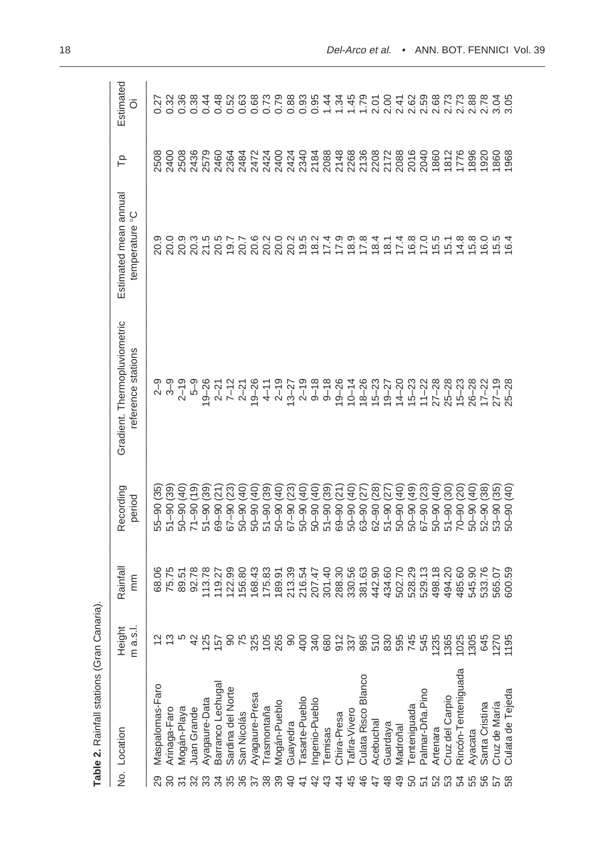|                          | Table 2. Rainfall stations (Gran Canaria) |                    |                |                                              |                                                    |                                                     |      |                  |
|--------------------------|-------------------------------------------|--------------------|----------------|----------------------------------------------|----------------------------------------------------|-----------------------------------------------------|------|------------------|
|                          | No. Location                              | m a.s.l.<br>Height | Rainfall<br>mm | Recording<br>period                          | Gradient. Thermopluviometric<br>reference stations | Estimated mean annual<br>temperature <sup>°</sup> C | م∟   | Estimated<br>õ   |
| 29                       | Maspalomas-Faro                           |                    | 68.06          | (35)<br>$55 - 90$                            |                                                    | 20.9                                                | 2508 | 0.27             |
| ౚ                        | Arinaga-Faro                              |                    | 75.75          | $51 - 90(39)$                                | ၅ ၅<br>လ က                                         |                                                     |      | 0.32             |
| $\overline{5}$           | Mogán-Playa                               |                    | 89.51          | $\overline{40}$<br>$50 - 90$                 | $2 - 19$                                           | 0.0<br>0.0.3<br>20.3                                |      | 0.36             |
| 32                       | Juan Grande                               | 42                 | 92.78          | $\overline{9}$<br>$71 - 90$                  | ე<br>5-მ                                           |                                                     |      | 0.38             |
| 33                       | Ayagaure-Data                             | <b>125</b>         | 113.78         | (39)<br>$51 - 90$                            | $ 9 - 26$                                          | 21.5                                                |      | 0.44             |
| 35 <sub>5</sub>          | Barranco Lechugal                         | 157                | 119.27         | $\widetilde{\widetilde{\Sigma}}$<br>$6 - 90$ | $2 - 21$                                           | 20.5                                                |      | 0.48             |
|                          | Sardina del Norte                         | 8                  | 122.99         | (23)<br>$67 - 90$                            | $7 - 12$                                           | 19.7                                                |      | 0.52             |
| 36                       | San Nicolás                               | 75                 | 156.80         | (40)<br>$50 - 90$                            | $2 - 21$                                           | 20.7                                                |      | 882788<br>692788 |
| $\overline{\mathcal{E}}$ | Ayagaure-Presa                            | 325                | 168.43         | (40)<br>$50 - 90$                            | $19 - 26$                                          |                                                     |      |                  |
| 38                       | rasmontaña                                |                    | 175.83         | (39)<br>$51 - 90$                            | $4 - 11$                                           |                                                     |      |                  |
| 39                       | Mogán-Pueblo                              | $105$<br>265       | 89.91          | $\left(40\right)$<br>$50 - 90$               | $2 - 19$                                           | 8<br>8<br>8<br>8<br>8<br>8                          |      |                  |
| $\overline{a}$           | Guayedra                                  | $8^{\circ}$        | 213.39         | (23)<br>$06 - 70$                            | $13 - 27$                                          | 20.2                                                |      |                  |
| $\frac{4}{7}$            | Tasarte-Pueblo                            | 400                | 216.54         | $\left(40\right)$<br>$50 - 90$               | $2 - 19$                                           | 19.5                                                |      | 0.93             |
| $\overline{4}$           | Ingenio-Pueblo                            | 340                | 207.47         | (40)<br>$50 - 90$                            | $9 - 18$                                           | 18.2                                                |      | 0.95             |
| $\frac{3}{4}$            | emisas                                    |                    | 301.40         | (39)<br>$51 - 90$                            | $9 - 18$                                           | 17.9                                                |      |                  |
| $\ddot{4}$               | Chira-Presa                               |                    | 288.30         | (21)<br>$69 - 90$                            | $19 - 26$                                          |                                                     |      | $1\frac{1}{34}$  |
| 45                       | Tafira-Vivero                             |                    | 330.56         | (40)<br>$50 - 90$                            | $10 - 14$                                          | $18.9$<br>$17.8$                                    |      |                  |
| 46                       | Culata Risco Blanco                       |                    | 381.63         | (27)<br>$63 - 90$                            | $18 - 26$                                          |                                                     |      |                  |
| 47                       | Acebuchal                                 | 82785<br>85885     | 442.90         | (28)<br>$62 - 90$                            | $15 - 23$                                          | 18.4                                                |      |                  |
| $\frac{8}{3}$            | Guardaya                                  | 830                | 434.60         | (27)<br>$51 - 90$                            | $19 - 27$                                          | 18.1                                                |      |                  |
| $\overline{4}$           | Madroñal                                  | 595                | 502.70         | (40)<br>$50 - 90$                            | $14 - 20$                                          | 17.4                                                |      |                  |
| SO                       | enteniguada                               | 745                | 528.29         | (49)<br>$50 - 90$                            | $15 - 23$                                          | 16.8                                                |      |                  |
| 51                       | Palmar-Dña.Pino                           | 545                | 529.13         | (23)<br>$67 - 90$                            | $11 - 22$                                          | 17.0                                                |      |                  |
| 52                       | Artenara                                  | 1235               | 498.18         | (40)<br>$50 - 90$                            | $27 - 28$                                          | $15.5$<br>$15.1$                                    |      |                  |
| 53                       | Cruz del Carpio                           | 1365               | 494.20         | (30)<br>$51 - 90$                            | $25 - 28$                                          |                                                     |      |                  |
| 54<br>55                 | Rincón-Tenteniguada                       | 1025               | 485.60         | (20)<br>$70 - 90$                            | $15 - 23$                                          | 14.8                                                |      |                  |
|                          | Ayacata                                   | 1305               | 545.90         | (40)<br>$50 - 90$                            | $26 - 28$                                          | 15.8                                                |      | 2.88             |
| 56                       | Santa Cristina                            | 645                | 533.76         | (38)<br>$52 - 90$                            | $17 - 22$                                          | 16.0                                                | 1920 | 2.78             |
| 57                       | Cruz de María                             | 1270               | 565.07         | (35)<br>$53 - 90$                            | $27 - 19$                                          | 15.5                                                | 1860 | 3.04             |
| 58                       | Culata de Tejeda                          | 1195               | 600.59         | $\frac{1}{2}$<br>$50 - 90$                   | $25 - 28$                                          | 16.4                                                | 968  | 3.05             |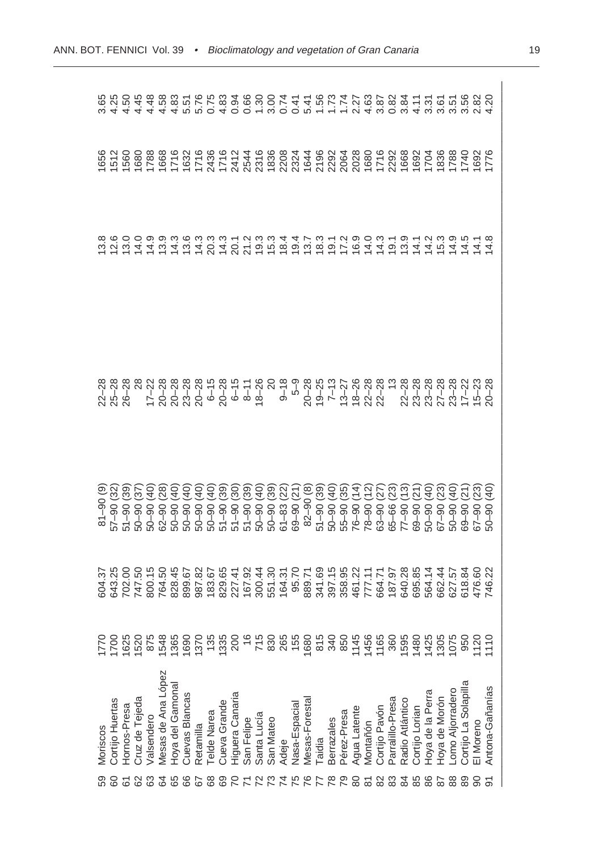|               | Moriscos             |                | $\begin{array}{l}5.46\,0.07\,0.07\,0.07\,0.07\,0.07\,0.07\,0.07\,0.07\,0.07\,0.07\,0.07\,0.07\,0.07\,0.07\,0.07\,0.07\,0.07\,0.07\,0.07\,0.07\,0.07\,0.07\,0.07\,0.07\,0.07\,0.07\,0.07\,0.07\,0.07\,0.07\,0.07\,0.07\,0.07\,0.07\,0.0$ | $81 - 90$ (9 | 22-28<br>25-28<br>26-28 |  |                                                                                                                                                                                                                     |
|---------------|----------------------|----------------|-----------------------------------------------------------------------------------------------------------------------------------------------------------------------------------------------------------------------------------------|--------------|-------------------------|--|---------------------------------------------------------------------------------------------------------------------------------------------------------------------------------------------------------------------|
|               | Cortijo Huertas      | 1700           |                                                                                                                                                                                                                                         |              |                         |  |                                                                                                                                                                                                                     |
|               | Hornos-Presa         | 1625           |                                                                                                                                                                                                                                         |              |                         |  |                                                                                                                                                                                                                     |
|               | Cruz de Tejeda       | 1520           |                                                                                                                                                                                                                                         |              |                         |  |                                                                                                                                                                                                                     |
|               | valsendero           | 875            |                                                                                                                                                                                                                                         |              |                         |  |                                                                                                                                                                                                                     |
|               | Mesas de Ana López   | 548            |                                                                                                                                                                                                                                         |              |                         |  | αναμμητια αναμαρολογια της αναμασιλογιας<br>δημοτια αναμμητια αναμμητια αναμασιλογια αναμμητια αναμμητια αναμμητια αναμμητια αναμμητια αναμμητια αναμμητια<br>αναμμητια αναμασια αναμμητια αναμμητια αναμμητια αναμ |
|               | Hoya del Gamonal     | 1365           |                                                                                                                                                                                                                                         |              |                         |  |                                                                                                                                                                                                                     |
| 89            | Cuevas Blancas       | 0691           |                                                                                                                                                                                                                                         |              |                         |  |                                                                                                                                                                                                                     |
|               | Retamilla            | 1370           |                                                                                                                                                                                                                                         |              |                         |  |                                                                                                                                                                                                                     |
|               | <b>Telde Narea</b>   | 135            |                                                                                                                                                                                                                                         |              |                         |  |                                                                                                                                                                                                                     |
|               | Cueva Grande         | 1335           |                                                                                                                                                                                                                                         |              |                         |  |                                                                                                                                                                                                                     |
|               | Higuera Canaria      | 200            |                                                                                                                                                                                                                                         |              |                         |  |                                                                                                                                                                                                                     |
|               | San Felipe           | $\frac{6}{1}$  |                                                                                                                                                                                                                                         |              |                         |  |                                                                                                                                                                                                                     |
|               | Santa Lucía          | 715            |                                                                                                                                                                                                                                         |              |                         |  |                                                                                                                                                                                                                     |
|               | San Mateo            | 830            |                                                                                                                                                                                                                                         |              |                         |  |                                                                                                                                                                                                                     |
|               | Adeje                | 265            |                                                                                                                                                                                                                                         |              |                         |  |                                                                                                                                                                                                                     |
|               | Nasa-Espacial        | 155            |                                                                                                                                                                                                                                         |              |                         |  |                                                                                                                                                                                                                     |
| ی             | Mesas-Foresta        | 1680           |                                                                                                                                                                                                                                         |              |                         |  |                                                                                                                                                                                                                     |
|               | Taidia               | 815            |                                                                                                                                                                                                                                         |              |                         |  |                                                                                                                                                                                                                     |
| ల్ల           | <b>Berrazales</b>    | 340            |                                                                                                                                                                                                                                         |              |                         |  |                                                                                                                                                                                                                     |
|               | Pérez-Presa          | 850            |                                                                                                                                                                                                                                         |              |                         |  |                                                                                                                                                                                                                     |
|               | Agua Latente         | 1145           |                                                                                                                                                                                                                                         |              |                         |  |                                                                                                                                                                                                                     |
|               | Montañón             | 1456           |                                                                                                                                                                                                                                         |              |                         |  |                                                                                                                                                                                                                     |
|               | Cortijo Pavón        | 1165           |                                                                                                                                                                                                                                         |              |                         |  |                                                                                                                                                                                                                     |
|               | Parralillo-Presa     | 360            |                                                                                                                                                                                                                                         |              |                         |  |                                                                                                                                                                                                                     |
|               | Radio Atlántico      | 1595           |                                                                                                                                                                                                                                         |              |                         |  |                                                                                                                                                                                                                     |
|               | Cortijo Lorian       | 1480           |                                                                                                                                                                                                                                         |              |                         |  |                                                                                                                                                                                                                     |
|               | Hoya de la Perra     | 1425           |                                                                                                                                                                                                                                         |              |                         |  |                                                                                                                                                                                                                     |
|               | Hoya de Morón        | 1305           |                                                                                                                                                                                                                                         |              |                         |  |                                                                                                                                                                                                                     |
| $\frac{8}{8}$ | -omo Aljorradero     | 1075           |                                                                                                                                                                                                                                         |              |                         |  |                                                                                                                                                                                                                     |
| 89            | Cortijo La Solapilla | 950            |                                                                                                                                                                                                                                         |              |                         |  |                                                                                                                                                                                                                     |
|               | El Moreno            | 1120           |                                                                                                                                                                                                                                         |              |                         |  |                                                                                                                                                                                                                     |
|               | Antona-Gañanías      | $\frac{1}{10}$ |                                                                                                                                                                                                                                         |              |                         |  |                                                                                                                                                                                                                     |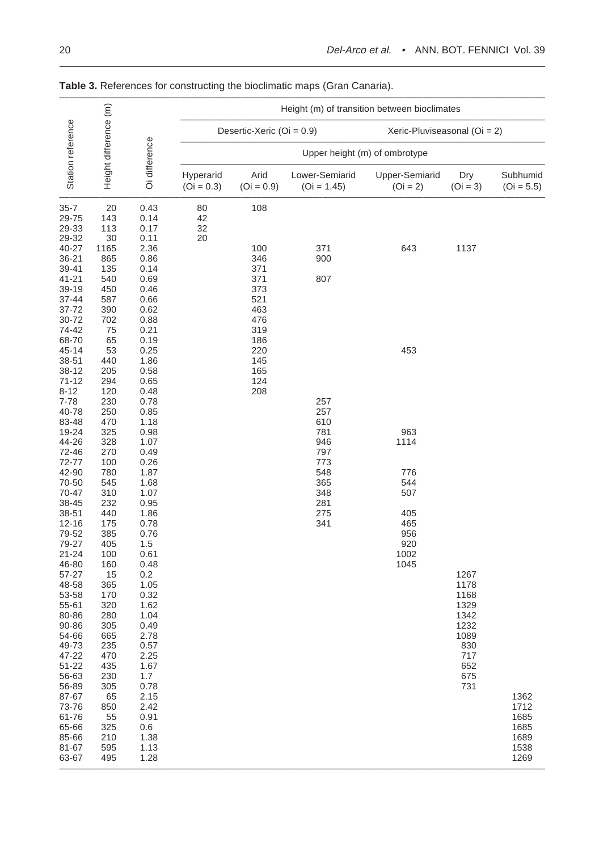|                                                                                                                                                                                                                                                                                                                                                                                                                                                                                 |                                                                                                                                                                                                                                                                                                                                                      |                                                                                                                                                                                                                                                                                                                                                                                                           |                           |                                                                                                              | Height (m) of transition between bioclimates                                                                 |                                                                                            |                                                                                                 |                          |
|---------------------------------------------------------------------------------------------------------------------------------------------------------------------------------------------------------------------------------------------------------------------------------------------------------------------------------------------------------------------------------------------------------------------------------------------------------------------------------|------------------------------------------------------------------------------------------------------------------------------------------------------------------------------------------------------------------------------------------------------------------------------------------------------------------------------------------------------|-----------------------------------------------------------------------------------------------------------------------------------------------------------------------------------------------------------------------------------------------------------------------------------------------------------------------------------------------------------------------------------------------------------|---------------------------|--------------------------------------------------------------------------------------------------------------|--------------------------------------------------------------------------------------------------------------|--------------------------------------------------------------------------------------------|-------------------------------------------------------------------------------------------------|--------------------------|
|                                                                                                                                                                                                                                                                                                                                                                                                                                                                                 |                                                                                                                                                                                                                                                                                                                                                      |                                                                                                                                                                                                                                                                                                                                                                                                           |                           | Desertic-Xeric (Oi = 0.9)                                                                                    |                                                                                                              | Xeric-Pluviseasonal (Oi = 2)                                                               |                                                                                                 |                          |
|                                                                                                                                                                                                                                                                                                                                                                                                                                                                                 |                                                                                                                                                                                                                                                                                                                                                      |                                                                                                                                                                                                                                                                                                                                                                                                           |                           |                                                                                                              |                                                                                                              | Upper height (m) of ombrotype                                                              |                                                                                                 |                          |
| Station reference                                                                                                                                                                                                                                                                                                                                                                                                                                                               | Height difference (m)                                                                                                                                                                                                                                                                                                                                | Oi difference                                                                                                                                                                                                                                                                                                                                                                                             | Hyperarid<br>$(Oi = 0.3)$ | Arid<br>$(Oi = 0.9)$                                                                                         | Lower-Semiarid<br>$(Oi = 1.45)$                                                                              | Upper-Semiarid<br>$(Oi = 2)$                                                               | Dry<br>$(Oi = 3)$                                                                               | Subhumid<br>$(Oi = 5.5)$ |
| $35 - 7$<br>29-75<br>29-33<br>29-32<br>40-27<br>36-21<br>39-41<br>$41 - 21$<br>39-19<br>37-44<br>37-72<br>30-72<br>74-42<br>68-70<br>45-14<br>38-51<br>38-12<br>$71 - 12$<br>$8 - 12$<br>7-78<br>40-78<br>83-48<br>19-24<br>44-26<br>72-46<br>72-77<br>42-90<br>70-50<br>70-47<br>38-45<br>38-51<br>12-16<br>79-52<br>79-27<br>21-24<br>46-80<br>57-27<br>48-58<br>53-58<br>55-61<br>80-86<br>90-86<br>54-66<br>49-73<br>47-22<br>$51 - 22$<br>56-63<br>56-89<br>87-67<br>73-76 | 20<br>143<br>113<br>30<br>1165<br>865<br>135<br>540<br>450<br>587<br>390<br>702<br>75<br>65<br>53<br>440<br>205<br>294<br>120<br>230<br>250<br>470<br>325<br>328<br>270<br>100<br>780<br>545<br>310<br>232<br>440<br>175<br>385<br>405<br>100<br>160<br>15<br>365<br>170<br>320<br>280<br>305<br>665<br>235<br>470<br>435<br>230<br>305<br>65<br>850 | 0.43<br>0.14<br>0.17<br>0.11<br>2.36<br>0.86<br>0.14<br>0.69<br>0.46<br>0.66<br>0.62<br>0.88<br>0.21<br>0.19<br>0.25<br>1.86<br>0.58<br>0.65<br>0.48<br>0.78<br>0.85<br>1.18<br>0.98<br>1.07<br>0.49<br>0.26<br>1.87<br>1.68<br>1.07<br>0.95<br>1.86<br>0.78<br>0.76<br>1.5<br>0.61<br>0.48<br>0.2<br>1.05<br>0.32<br>1.62<br>1.04<br>0.49<br>2.78<br>0.57<br>2.25<br>1.67<br>1.7<br>0.78<br>2.15<br>2.42 | 80<br>42<br>32<br>20      | 108<br>100<br>346<br>371<br>371<br>373<br>521<br>463<br>476<br>319<br>186<br>220<br>145<br>165<br>124<br>208 | 371<br>900<br>807<br>257<br>257<br>610<br>781<br>946<br>797<br>773<br>548<br>365<br>348<br>281<br>275<br>341 | 643<br>453<br>963<br>1114<br>776<br>544<br>507<br>405<br>465<br>956<br>920<br>1002<br>1045 | 1137<br>1267<br>1178<br>1168<br>1329<br>1342<br>1232<br>1089<br>830<br>717<br>652<br>675<br>731 | 1362<br>1712<br>1685     |
| 61-76<br>65-66<br>85-66<br>81-67<br>63-67                                                                                                                                                                                                                                                                                                                                                                                                                                       | 55<br>325<br>210<br>595<br>495                                                                                                                                                                                                                                                                                                                       | 0.91<br>0.6<br>1.38<br>1.13<br>1.28                                                                                                                                                                                                                                                                                                                                                                       |                           |                                                                                                              |                                                                                                              |                                                                                            |                                                                                                 |                          |

**Table 3.** References for constructing the bioclimatic maps (Gran Canaria).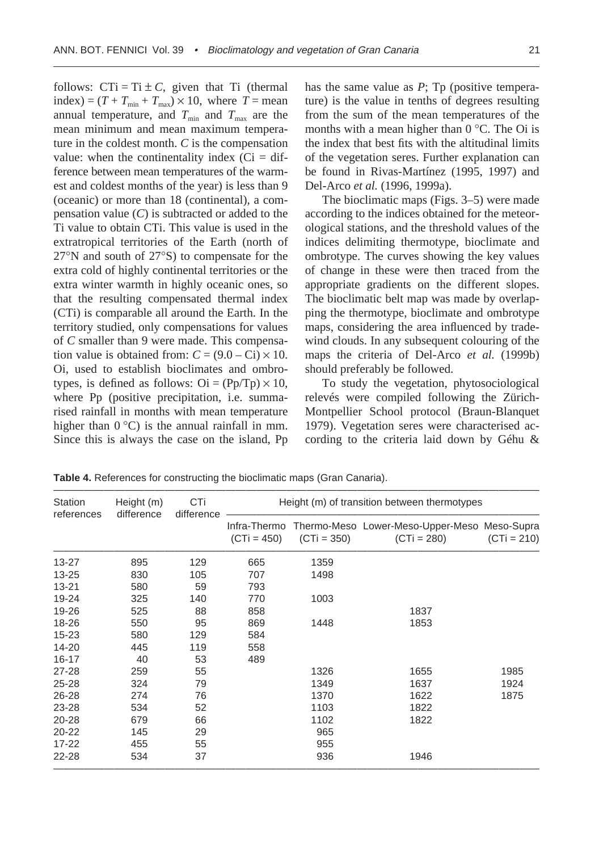follows:  $CTi = Ti \pm C$ , given that Ti (thermal index) =  $(T + T_{min} + T_{max}) \times 10$ , where  $T =$  mean annual temperature, and  $T_{\text{min}}$  and  $T_{\text{max}}$  are the mean minimum and mean maximum temperature in the coldest month. *C* is the compensation value: when the continentality index  $(Ci = dif$ ference between mean temperatures of the warmest and coldest months of the year) is less than 9 (oceanic) or more than 18 (continental), a compensation value (*C*) is subtracted or added to the Ti value to obtain CTi. This value is used in the extratropical territories of the Earth (north of 27∞N and south of 27∞S) to compensate for the extra cold of highly continental territories or the extra winter warmth in highly oceanic ones, so that the resulting compensated thermal index (CTi) is comparable all around the Earth. In the territory studied, only compensations for values of *C* smaller than 9 were made. This compensation value is obtained from:  $C = (9.0 - Ci) \times 10$ . Oi, used to establish bioclimates and ombrotypes, is defined as follows:  $\text{Oi} = (\text{Pp/Tp}) \times 10$ , where Pp (positive precipitation, i.e. summarised rainfall in months with mean temperature higher than  $0^{\circ}$ C) is the annual rainfall in mm. Since this is always the case on the island, Pp

has the same value as *P*; Tp (positive temperature) is the value in tenths of degrees resulting from the sum of the mean temperatures of the months with a mean higher than  $0^{\circ}$ C. The Oi is the index that best fits with the altitudinal limits of the vegetation seres. Further explanation can be found in Rivas-Martínez (1995, 1997) and Del-Arco *et al.* (1996, 1999a).

The bioclimatic maps (Figs. 3–5) were made according to the indices obtained for the meteorological stations, and the threshold values of the indices delimiting thermotype, bioclimate and ombrotype. The curves showing the key values of change in these were then traced from the appropriate gradients on the different slopes. The bioclimatic belt map was made by overlapping the thermotype, bioclimate and ombrotype maps, considering the area influenced by tradewind clouds. In any subsequent colouring of the maps the criteria of Del-Arco *et al.* (1999b) should preferably be followed.

To study the vegetation, phytosociological relevés were compiled following the Zürich-Montpellier School protocol (Braun-Blanquet 1979). Vegetation seres were characterised according to the criteria laid down by Géhu &

———————————————————————————————————————————————— Station Height (m) CTi Height (m) of transition between thermotypes references difference difference ——————————————————————————————— Infra-Thermo Thermo-Meso Lower-Meso-Upper-Meso Meso-Supra  $(CTi = 450)$   $(CTi = 350)$   $(CTi = 280)$   $(CTi = 210)$ ———————————————————————————————————————————————— 13-27 895 129 665 1359 13-25 830 105 707 1498 13-21 580 59 793 19-24 325 140 770 1003 19-26 525 88 858 1837 18-26 550 95 869 1448 1853 15-23 580 129 584 14-20 445 119 558 16-17 40 53 489 27-28 259 55 1326 1655 1985 25-28 324 79 1349 1637 1924 26-28 274 76 1370 1622 1875 23-28 534 52 1103 1822 20-28 679 66 1102 1822 20-22 145 29 965 17-22 455 55 955 22-28 534 37 936 1946 ————————————————————————————————————————————————

**Table 4.** References for constructing the bioclimatic maps (Gran Canaria).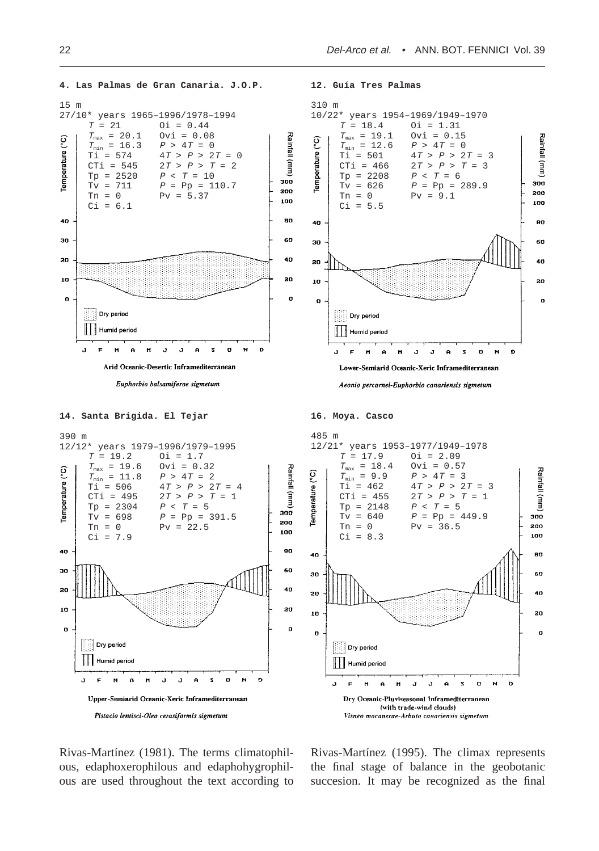

Rivas-Martínez (1981). The terms climatophilous, edaphoxerophilous and edaphohygrophilous are used throughout the text according to

Rivas-Martínez (1995). The climax represents the final stage of balance in the geobotanic succesion. It may be recognized as the final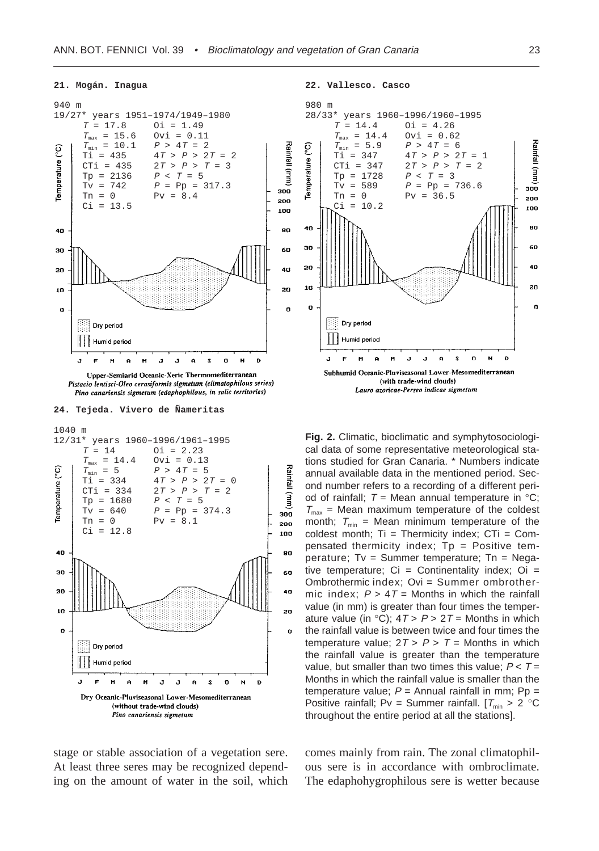#### **21. Mogán. Inagua**



Pistacio lentisci-Oleo cerasiformis sigmetum (climatophilous series) Pino canariensis sigmetum (edaphophilous, in salic territories)







stage or stable association of a vegetation sere. At least three seres may be recognized depending on the amount of water in the soil, which **22. Vallesco. Casco**



**Fig. 2.** Climatic, bioclimatic and symphytosociological data of some representative meteorological stations studied for Gran Canaria. \* Numbers indicate annual available data in the mentioned period. Second number refers to a recording of a different period of rainfall;  $T = \text{Mean annual temperature in } \degree \text{C}$ ;  $T_{\text{max}}$  = Mean maximum temperature of the coldest month;  $T_{min}$  = Mean minimum temperature of the coldest month;  $Ti = Thermicity$  index;  $CTi = Com$ pensated thermicity index; Tp = Positive temperature; Tv = Summer temperature; Tn = Negative temperature;  $Ci =$  Continentality index;  $Oi =$ Ombrothermic index; Ovi = Summer ombrothermic index;  $P > 4T =$  Months in which the rainfall value (in mm) is greater than four times the temperature value (in  $°C$ );  $4T > P > 2T =$  Months in which the rainfall value is between twice and four times the temperature value;  $2T > P > T =$  Months in which the rainfall value is greater than the temperature value, but smaller than two times this value;  $P < T =$ Months in which the rainfall value is smaller than the temperature value;  $P =$  Annual rainfall in mm;  $Pp =$ Positive rainfall; Pv = Summer rainfall.  $[T_{min} > 2 \degree C$ throughout the entire period at all the stations].

comes mainly from rain. The zonal climatophilous sere is in accordance with ombroclimate. The edaphohygrophilous sere is wetter because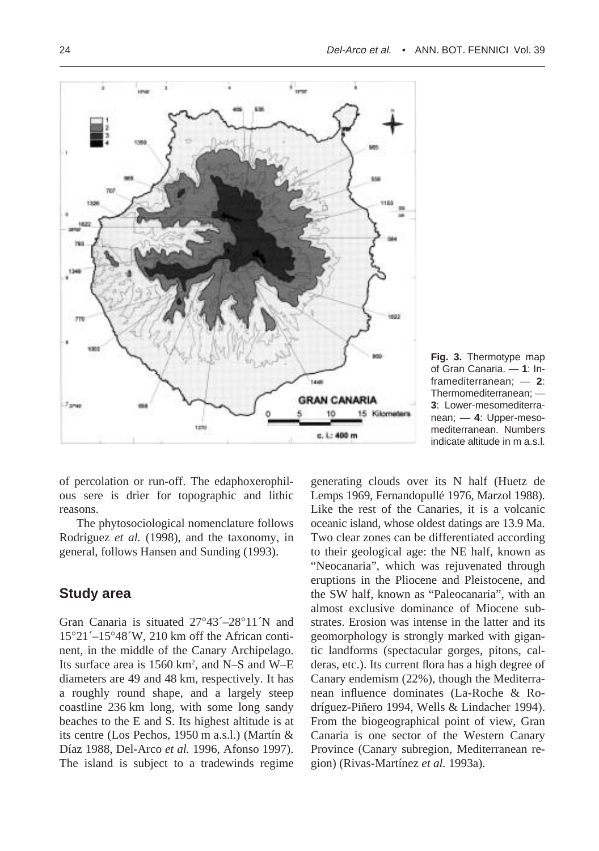

**Fig. 3.** Thermotype map of Gran Canaria. — **1**: Inframediterranean; — **2**: Thermomediterranean; — **3**: Lower-mesomediterranean; — **4**: Upper-mesomediterranean. Numbers indicate altitude in m a.s.l.

of percolation or run-off. The edaphoxerophilous sere is drier for topographic and lithic reasons.

The phytosociological nomenclature follows Rodríguez *et al.* (1998), and the taxonomy, in general, follows Hansen and Sunding (1993).

# **Study area**

Gran Canaria is situated 27∞43´–28∞11´N and 15∞21´–15∞48´W, 210 km off the African continent, in the middle of the Canary Archipelago. Its surface area is 1560 km<sup>2</sup>, and N-S and W-E diameters are 49 and 48 km, respectively. It has a roughly round shape, and a largely steep coastline 236 km long, with some long sandy beaches to the E and S. Its highest altitude is at its centre (Los Pechos, 1950 m a.s.l.) (Martín & Díaz 1988, Del-Arco *et al.* 1996, Afonso 1997). The island is subject to a tradewinds regime

generating clouds over its N half (Huetz de Lemps 1969, Fernandopullé 1976, Marzol 1988). Like the rest of the Canaries, it is a volcanic oceanic island, whose oldest datings are 13.9 Ma. Two clear zones can be differentiated according to their geological age: the NE half, known as "Neocanaria", which was rejuvenated through eruptions in the Pliocene and Pleistocene, and the SW half, known as "Paleocanaria", with an almost exclusive dominance of Miocene substrates. Erosion was intense in the latter and its geomorphology is strongly marked with gigantic landforms (spectacular gorges, pitons, calderas, etc.). Its current flora has a high degree of Canary endemism (22%), though the Mediterranean influence dominates (La-Roche & Rodríguez-Piñero 1994, Wells & Lindacher 1994). From the biogeographical point of view, Gran Canaria is one sector of the Western Canary Province (Canary subregion, Mediterranean region) (Rivas-Martínez *et al.* 1993a).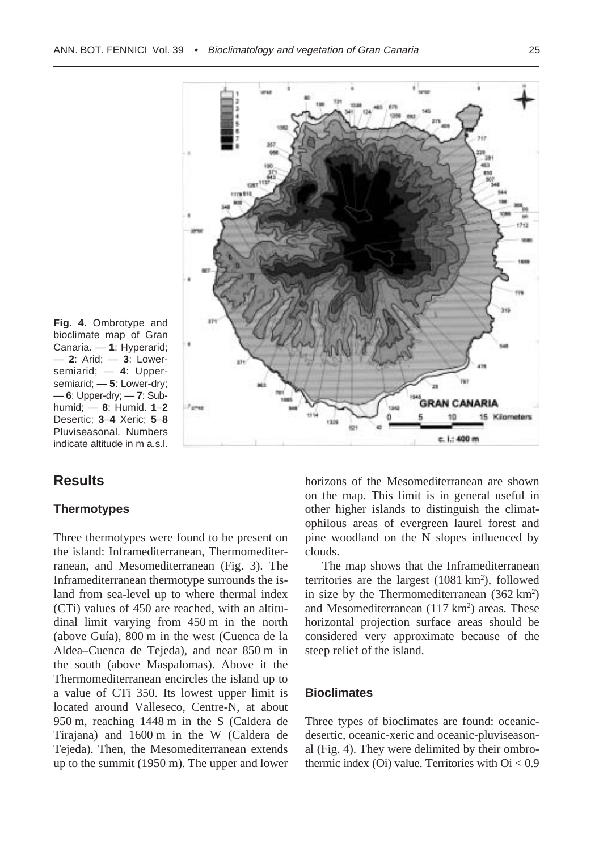

**Fig. 4.** Ombrotype and bioclimate map of Gran Canaria. — **1**: Hyperarid; — **2**: Arid; — **3**: Lowersemiarid; — **4**: Uppersemiarid; — **5**: Lower-dry; — **6**: Upper-dry; — **7**: Subhumid; — **8**: Humid. **1**–**2** Desertic; **3**–**4** Xeric; **5**–**8** Pluviseasonal. Numbers indicate altitude in m a.s.l.

# **Results**

## **Thermotypes**

Three thermotypes were found to be present on the island: Inframediterranean, Thermomediterranean, and Mesomediterranean (Fig. 3). The Inframediterranean thermotype surrounds the island from sea-level up to where thermal index (CTi) values of 450 are reached, with an altitudinal limit varying from 450 m in the north (above Guía), 800 m in the west (Cuenca de la Aldea–Cuenca de Tejeda), and near 850 m in the south (above Maspalomas). Above it the Thermomediterranean encircles the island up to a value of CTi 350. Its lowest upper limit is located around Valleseco, Centre-N, at about 950 m, reaching 1448 m in the S (Caldera de Tirajana) and 1600 m in the W (Caldera de Tejeda). Then, the Mesomediterranean extends up to the summit (1950 m). The upper and lower

horizons of the Mesomediterranean are shown on the map. This limit is in general useful in other higher islands to distinguish the climatophilous areas of evergreen laurel forest and pine woodland on the N slopes influenced by clouds.

The map shows that the Inframediterranean territories are the largest  $(1081 \text{ km}^2)$ , followed in size by the Thermomediterranean  $(362 \text{ km}^2)$ and Mesomediterranean  $(117 \text{ km}^2)$  areas. These horizontal projection surface areas should be considered very approximate because of the steep relief of the island.

## **Bioclimates**

Three types of bioclimates are found: oceanicdesertic, oceanic-xeric and oceanic-pluviseasonal (Fig. 4). They were delimited by their ombrothermic index  $(Oi)$  value. Territories with  $Oi < 0.9$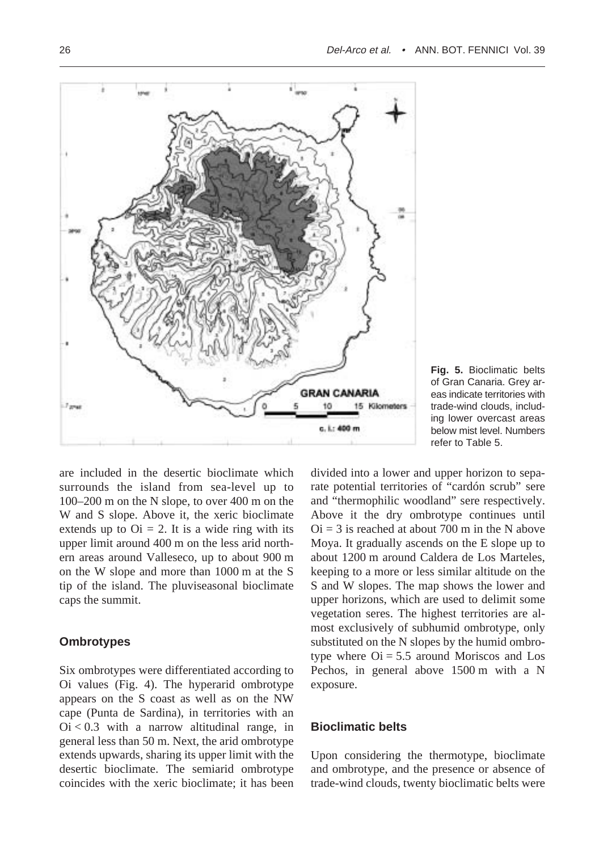

**Fig. 5.** Bioclimatic belts of Gran Canaria. Grey areas indicate territories with trade-wind clouds, including lower overcast areas below mist level. Numbers refer to Table 5.

are included in the desertic bioclimate which surrounds the island from sea-level up to 100–200 m on the N slope, to over 400 m on the W and S slope. Above it, the xeric bioclimate extends up to  $\text{Oi} = 2$ . It is a wide ring with its upper limit around 400 m on the less arid northern areas around Valleseco, up to about 900 m on the W slope and more than 1000 m at the S tip of the island. The pluviseasonal bioclimate caps the summit.

## **Ombrotypes**

Six ombrotypes were differentiated according to Oi values (Fig. 4). The hyperarid ombrotype appears on the S coast as well as on the NW cape (Punta de Sardina), in territories with an  $Oi < 0.3$  with a narrow altitudinal range, in general less than 50 m. Next, the arid ombrotype extends upwards, sharing its upper limit with the desertic bioclimate. The semiarid ombrotype coincides with the xeric bioclimate; it has been

divided into a lower and upper horizon to separate potential territories of "cardón scrub" sere and "thermophilic woodland" sere respectively. Above it the dry ombrotype continues until  $Oi = 3$  is reached at about 700 m in the N above Moya. It gradually ascends on the E slope up to about 1200 m around Caldera de Los Marteles, keeping to a more or less similar altitude on the S and W slopes. The map shows the lower and upper horizons, which are used to delimit some vegetation seres. The highest territories are almost exclusively of subhumid ombrotype, only substituted on the N slopes by the humid ombrotype where  $\text{Oi} = 5.5$  around Moriscos and Los Pechos, in general above 1500 m with a N exposure.

## **Bioclimatic belts**

Upon considering the thermotype, bioclimate and ombrotype, and the presence or absence of trade-wind clouds, twenty bioclimatic belts were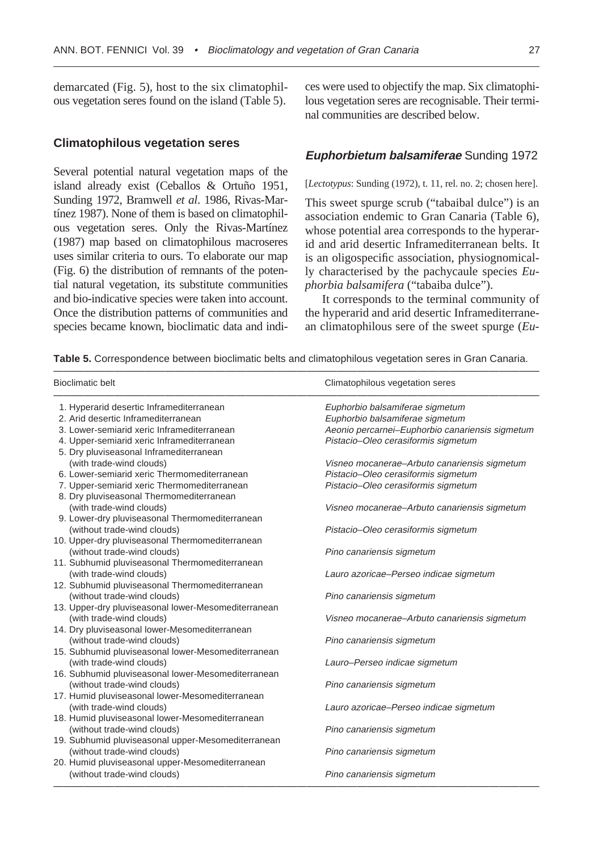demarcated (Fig. 5), host to the six climatophilous vegetation seres found on the island (Table 5).

## **Climatophilous vegetation seres**

Several potential natural vegetation maps of the island already exist (Ceballos & Ortuño 1951, Sunding 1972, Bramwell *et al*. 1986, Rivas-Martínez 1987). None of them is based on climatophilous vegetation seres. Only the Rivas-Martínez (1987) map based on climatophilous macroseres uses similar criteria to ours. To elaborate our map (Fig. 6) the distribution of remnants of the potential natural vegetation, its substitute communities and bio-indicative species were taken into account. Once the distribution patterns of communities and species became known, bioclimatic data and indices were used to objectify the map. Six climatophilous vegetation seres are recognisable. Their terminal communities are described below.

## **Euphorbietum balsamiferae** Sunding 1972

[*Lectotypus*: Sunding (1972), t. 11, rel. no. 2; chosen here].

This sweet spurge scrub ("tabaibal dulce") is an association endemic to Gran Canaria (Table 6), whose potential area corresponds to the hyperarid and arid desertic Inframediterranean belts. It is an oligospecific association, physiognomically characterised by the pachycaule species *Euphorbia balsamifera* ("tabaiba dulce").

It corresponds to the terminal community of the hyperarid and arid desertic Inframediterranean climatophilous sere of the sweet spurge (*Eu-*

| <b>Bioclimatic belt</b>                             | Climatophilous vegetation seres                 |
|-----------------------------------------------------|-------------------------------------------------|
| 1. Hyperarid desertic Inframediterranean            | Euphorbio balsamiferae sigmetum                 |
| 2. Arid desertic Inframediterranean                 | Euphorbio balsamiferae sigmetum                 |
| 3. Lower-semiarid xeric Inframediterranean          | Aeonio percarnei-Euphorbio canariensis sigmetum |
| 4. Upper-semiarid xeric Inframediterranean          | Pistacio-Oleo cerasiformis sigmetum             |
| 5. Dry pluviseasonal Inframediterranean             |                                                 |
| (with trade-wind clouds)                            | Visneo mocanerae-Arbuto canariensis sigmetum    |
| 6. Lower-semiarid xeric Thermomediterranean         | Pistacio-Oleo cerasiformis sigmetum             |
| 7. Upper-semiarid xeric Thermomediterranean         | Pistacio-Oleo cerasiformis sigmetum             |
| 8. Dry pluviseasonal Thermomediterranean            |                                                 |
| (with trade-wind clouds)                            | Visneo mocanerae-Arbuto canariensis sigmetum    |
| 9. Lower-dry pluviseasonal Thermomediterranean      |                                                 |
| (without trade-wind clouds)                         | Pistacio-Oleo cerasiformis sigmetum             |
| 10. Upper-dry pluviseasonal Thermomediterranean     |                                                 |
| (without trade-wind clouds)                         | Pino canariensis sigmetum                       |
| 11. Subhumid pluviseasonal Thermomediterranean      |                                                 |
| (with trade-wind clouds)                            | Lauro azoricae–Perseo indicae sigmetum          |
| 12. Subhumid pluviseasonal Thermomediterranean      |                                                 |
| (without trade-wind clouds)                         | Pino canariensis sigmetum                       |
| 13. Upper-dry pluviseasonal lower-Mesomediterranean |                                                 |
| (with trade-wind clouds)                            | Visneo mocanerae-Arbuto canariensis sigmetum    |
| 14. Dry pluviseasonal lower-Mesomediterranean       |                                                 |
| (without trade-wind clouds)                         | Pino canariensis sigmetum                       |
| 15. Subhumid pluviseasonal lower-Mesomediterranean  |                                                 |
| (with trade-wind clouds)                            | Lauro-Perseo indicae sigmetum                   |
| 16. Subhumid pluviseasonal lower-Mesomediterranean  |                                                 |
| (without trade-wind clouds)                         | Pino canariensis sigmetum                       |
| 17. Humid pluviseasonal lower-Mesomediterranean     |                                                 |
| (with trade-wind clouds)                            | Lauro azoricae-Perseo indicae sigmetum          |
| 18. Humid pluviseasonal lower-Mesomediterranean     |                                                 |
| (without trade-wind clouds)                         | Pino canariensis sigmetum                       |
| 19. Subhumid pluviseasonal upper-Mesomediterranean  |                                                 |
| (without trade-wind clouds)                         | Pino canariensis sigmetum                       |
| 20. Humid pluviseasonal upper-Mesomediterranean     |                                                 |
| (without trade-wind clouds)                         | Pino canariensis sigmetum                       |
|                                                     |                                                 |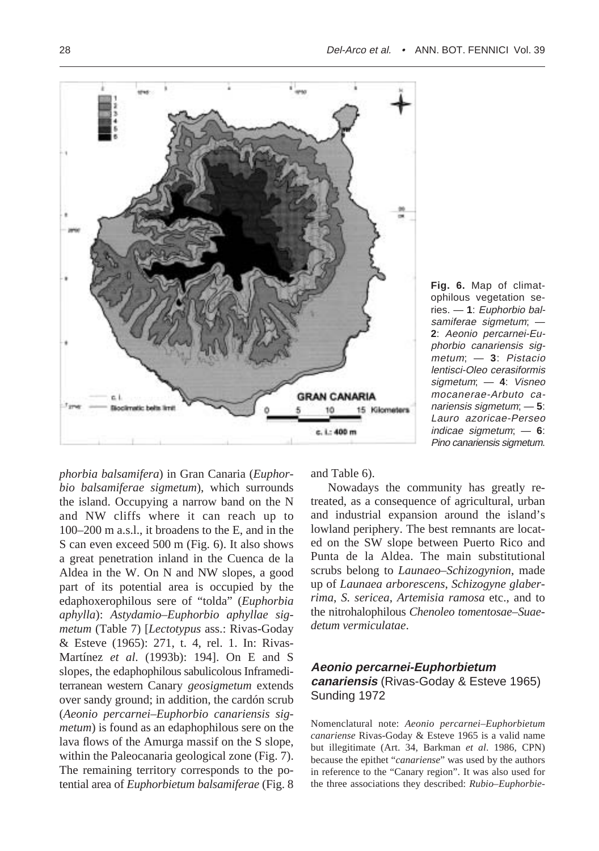

**Fig. 6.** Map of climatophilous vegetation series. — **1**: Euphorbio balsamiferae sigmetum; — **2**: Aeonio percarnei-Euphorbio canariensis sigmetum; — **3**: Pistacio lentisci-Oleo cerasiformis sigmetum; — **4**: Visneo mocanerae-Arbuto canariensis sigmetum; — **5**: Lauro azoricae-Perseo indicae sigmetum; — **6**: Pino canariensis sigmetum.

*phorbia balsamifera*) in Gran Canaria (*Euphorbio balsamiferae sigmetum*), which surrounds the island. Occupying a narrow band on the N and NW cliffs where it can reach up to 100–200 m a.s.l., it broadens to the E, and in the S can even exceed 500 m (Fig. 6). It also shows a great penetration inland in the Cuenca de la Aldea in the W. On N and NW slopes, a good part of its potential area is occupied by the edaphoxerophilous sere of "tolda" (*Euphorbia aphylla*): *Astydamio–Euphorbio aphyllae sigmetum* (Table 7) [*Lectotypus* ass.: Rivas-Goday & Esteve (1965): 271, t. 4, rel. 1. In: Rivas-Martínez *et al*. (1993b): 194]. On E and S slopes, the edaphophilous sabulicolous Inframediterranean western Canary *geosigmetum* extends over sandy ground; in addition, the cardón scrub (*Aeonio percarnei–Euphorbio canariensis sigmetum*) is found as an edaphophilous sere on the lava flows of the Amurga massif on the S slope, within the Paleocanaria geological zone (Fig. 7). The remaining territory corresponds to the potential area of *Euphorbietum balsamiferae* (Fig. 8

and Table 6).

Nowadays the community has greatly retreated, as a consequence of agricultural, urban and industrial expansion around the island's lowland periphery. The best remnants are located on the SW slope between Puerto Rico and Punta de la Aldea. The main substitutional scrubs belong to *Launaeo–Schizogynion*, made up of *Launaea arborescens*, *Schizogyne glaberrima*, *S. sericea*, *Artemisia ramosa* etc., and to the nitrohalophilous *Chenoleo tomentosae–Suaedetum vermiculatae*.

## **Aeonio percarnei-Euphorbietum canariensis** (Rivas-Goday & Esteve 1965) Sunding 1972

Nomenclatural note: *Aeonio percarnei–Euphorbietum canariense* Rivas-Goday & Esteve 1965 is a valid name but illegitimate (Art. 34, Barkman *et al*. 1986, CPN) because the epithet "*canariense*" was used by the authors in reference to the "Canary region". It was also used for the three associations they described: *Rubio–Euphorbie-*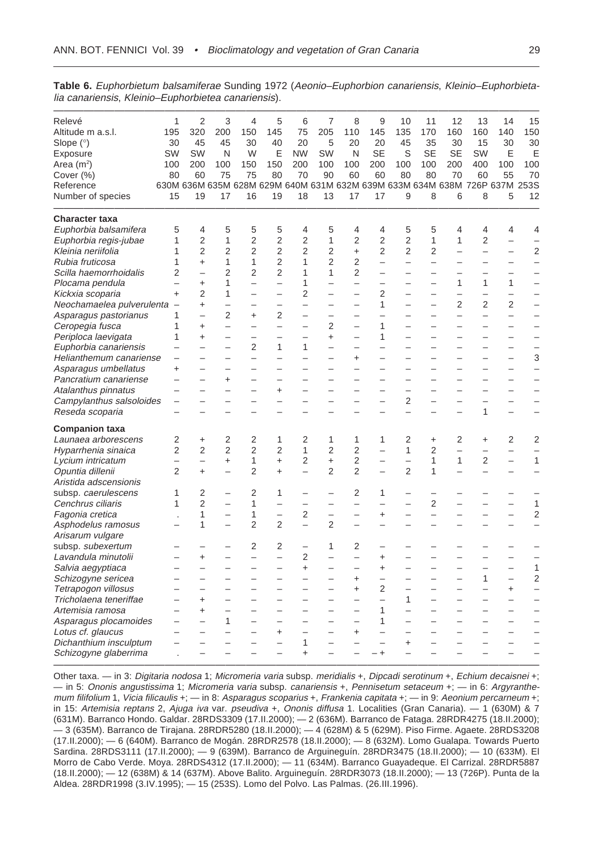| Relevé                    | 1                        | $\overline{2}$           | 3                        | 4                                                                          | 5                        | 6                        | 7                        | 8                        | 9                        | 10                       | 11                       | 12                       | 13                       | 14                       | 15                       |
|---------------------------|--------------------------|--------------------------|--------------------------|----------------------------------------------------------------------------|--------------------------|--------------------------|--------------------------|--------------------------|--------------------------|--------------------------|--------------------------|--------------------------|--------------------------|--------------------------|--------------------------|
| Altitude m a.s.l.         | 195                      | 320                      | 200                      | 150                                                                        | 145                      | 75                       | 205                      | 110                      | 145                      | 135                      | 170                      | 160                      | 160                      | 140                      | 150                      |
| Slope (°)                 | 30                       | 45                       | 45                       | 30                                                                         | 40                       | 20                       | 5                        | 20                       | 20                       | 45                       | 35                       | 30                       | 15                       | 30                       | 30                       |
| Exposure                  | SW                       | SW                       | N                        | W                                                                          | Ε                        | <b>NW</b>                | SW                       | N                        | <b>SE</b>                | S                        | SE                       | SE                       | SW                       | Е                        | Е                        |
| Area (mª)                 | 100                      | 200                      | 100                      | 150                                                                        | 150                      | 200                      | 100                      | 100                      | 200                      | 100                      | 100                      | 200                      | 400                      | 100                      | 100                      |
| Cover (%)                 | 80                       | 60                       | 75                       | 75                                                                         | 80                       | 70                       | 90                       | 60                       | 60                       | 80                       | 80                       | 70                       | 60                       | 55                       | 70                       |
| Reference                 |                          |                          |                          | 630M 636M 635M 628M 629M 640M 631M 632M 639M 633M 634M 638M 726P 637M 253S |                          |                          |                          |                          |                          |                          |                          |                          |                          |                          |                          |
| Number of species         | 15                       | 19                       | 17                       | 16                                                                         | 19                       | 18                       | 13                       | 17                       | 17                       | 9                        | 8                        | 6                        | 8                        | 5                        | 12                       |
| <b>Character taxa</b>     |                          |                          |                          |                                                                            |                          |                          |                          |                          |                          |                          |                          |                          |                          |                          |                          |
| Euphorbia balsamifera     | 5                        | 4                        | 5                        | 5                                                                          | 5                        | 4                        | 5                        | 4                        | 4                        | 5                        | 5                        | 4                        | 4                        | 4                        | 4                        |
| Euphorbia regis-jubae     | 1                        | $\overline{2}$           | 1                        | $\overline{2}$                                                             | $\overline{2}$           | $\overline{2}$           | 1                        | $\overline{2}$           | $\overline{2}$           | $\overline{2}$           | $\mathbf{1}$             | 1                        | $\overline{2}$           | $\overline{a}$           |                          |
| Kleinia neriifolia        | 1                        | $\overline{2}$           | 2                        | $\overline{2}$                                                             | $\overline{2}$           | $\overline{2}$           | 2                        | $\ddot{}$                | 2                        | 2                        | 2                        | $\overline{a}$           | $\overline{\phantom{0}}$ | $\overline{\phantom{0}}$ | $\overline{2}$           |
| Rubia fruticosa           | 1                        | $\ddot{}$                | 1                        | 1                                                                          | $\overline{2}$           | 1                        | $\overline{2}$           | $\overline{2}$           | $\overline{a}$           | $\overline{\phantom{0}}$ | $\overline{a}$           |                          |                          |                          | $\overline{a}$           |
| Scilla haemorrhoidalis    | $\overline{2}$           | $\overline{\phantom{0}}$ | $\overline{2}$           | $\overline{2}$                                                             | $\overline{2}$           | 1                        | 1                        | $\overline{2}$           | —                        | $\overline{\phantom{0}}$ | $\overline{\phantom{0}}$ | $\overline{\phantom{0}}$ |                          | $\overline{\phantom{0}}$ |                          |
| Plocama pendula           | $\overline{\phantom{0}}$ | $\ddot{}$                | 1                        | $\overline{\phantom{0}}$                                                   |                          | 1                        | $\overline{\phantom{0}}$ | $\overline{\phantom{0}}$ | $\overline{\phantom{0}}$ | $\equiv$                 | $\equiv$                 | $\mathbf{1}$             | 1                        | $\mathbf{1}$             | $\overline{\phantom{0}}$ |
| Kickxia scoparia          | $\ddot{}$                | 2                        | 1                        |                                                                            |                          | 2                        | $\overline{\phantom{0}}$ |                          | $\overline{2}$           |                          |                          | $\overline{\phantom{0}}$ | $\overline{\phantom{0}}$ | $\overline{\phantom{0}}$ | $\overline{\phantom{0}}$ |
| Neochamaelea pulverulenta |                          | $\ddot{}$                |                          |                                                                            | $\overline{\phantom{0}}$ |                          |                          |                          | 1                        |                          |                          | $\overline{2}$           | $\overline{2}$           | 2                        | $\overline{\phantom{0}}$ |
| Asparagus pastorianus     | 1                        |                          | 2                        | $\ddot{}$                                                                  | 2                        | $\overline{\phantom{0}}$ | $\overline{\phantom{0}}$ |                          |                          |                          |                          | $\overline{\phantom{0}}$ | $\overline{\phantom{0}}$ | $\overline{\phantom{0}}$ |                          |
| Ceropegia fusca           | 1                        | $\ddot{}$                | $\overline{\phantom{0}}$ |                                                                            | $\overline{a}$           | $\overline{\phantom{0}}$ | 2                        | $\overline{\phantom{0}}$ | 1                        | $\overline{\phantom{0}}$ | $\overline{\phantom{0}}$ | $\overline{\phantom{0}}$ | $\overline{\phantom{0}}$ | $\overline{\phantom{0}}$ | $\overline{\phantom{0}}$ |
| Periploca laevigata       | 1                        | $\ddot{}$                |                          |                                                                            |                          | $\overline{\phantom{0}}$ | $\ddot{}$                | $\overline{\phantom{0}}$ | 1                        |                          |                          |                          |                          | $\overline{\phantom{0}}$ | $\overline{\phantom{0}}$ |
| Euphorbia canariensis     |                          |                          |                          | $\overline{2}$                                                             | 1                        | 1                        | $\overline{\phantom{0}}$ | $\overline{\phantom{0}}$ | $\overline{\phantom{0}}$ |                          | $\overline{\phantom{0}}$ | $\overline{\phantom{0}}$ | $\overline{\phantom{0}}$ | $\qquad \qquad -$        | $\overline{\phantom{0}}$ |
| Helianthemum canariense   |                          |                          |                          |                                                                            |                          |                          |                          | $\ddot{}$                |                          |                          | $\overline{\phantom{0}}$ |                          |                          | $\overline{\phantom{0}}$ | 3                        |
| Asparagus umbellatus      | $\ddot{}$                |                          |                          |                                                                            |                          |                          |                          |                          |                          |                          |                          |                          |                          |                          | $\overline{\phantom{0}}$ |
| Pancratium canariense     |                          |                          | $\ddot{}$                |                                                                            | $\overline{\phantom{0}}$ | $\overline{\phantom{0}}$ | $\overline{\phantom{0}}$ | $\overline{\phantom{0}}$ | $\equiv$                 | $\overline{\phantom{0}}$ | $\overline{\phantom{0}}$ | $\overline{\phantom{0}}$ | $\overline{\phantom{0}}$ | $\overline{\phantom{0}}$ | $\overline{\phantom{0}}$ |
| Atalanthus pinnatus       |                          |                          |                          |                                                                            | $\ddot{}$                |                          |                          |                          |                          | $\overline{\phantom{0}}$ |                          |                          | $\overline{\phantom{0}}$ | $\overline{\phantom{0}}$ | $\overline{\phantom{0}}$ |
| Campylanthus salsoloides  |                          |                          |                          |                                                                            |                          |                          |                          | $\overline{\phantom{0}}$ | $\overline{\phantom{0}}$ | 2                        | $\overline{\phantom{0}}$ | $\qquad \qquad -$        |                          | $\overline{\phantom{0}}$ | $\overline{\phantom{0}}$ |
| Reseda scoparia           |                          |                          |                          |                                                                            |                          |                          |                          |                          | $\overline{\phantom{0}}$ | $\overline{\phantom{0}}$ | $\overline{\phantom{0}}$ | $\overline{\phantom{0}}$ | 1                        | $\overline{\phantom{0}}$ | $\overline{\phantom{0}}$ |
| <b>Companion taxa</b>     |                          |                          |                          |                                                                            |                          |                          |                          |                          |                          |                          |                          |                          |                          |                          |                          |
| Launaea arborescens       | 2                        | $\ddot{}$                | 2                        | 2                                                                          | 1                        | 2                        | 1                        | 1                        | 1                        | $\overline{2}$           | $\ddot{}$                | 2                        | $\ddot{}$                | 2                        | 2                        |
| Hyparrhenia sinaica       | 2                        | $\overline{2}$           | $\overline{2}$           | $\overline{2}$                                                             | $\overline{2}$           | 1                        | $\overline{2}$           | $\overline{2}$           |                          | $\mathbf{1}$             | $\overline{2}$           | $\overline{\phantom{0}}$ | $\overline{\phantom{0}}$ | $\overline{\phantom{0}}$ | $\overline{\phantom{0}}$ |
| Lycium intricatum         |                          |                          | $\ddot{}$                | 1                                                                          | $\ddot{}$                | $\overline{2}$           | $\ddot{}$                | $\overline{2}$           | $\overline{\phantom{0}}$ | $\overline{\phantom{0}}$ | $\mathbf{1}$             | $\mathbf{1}$             | $\overline{2}$           | $\overline{\phantom{0}}$ | $\mathbf{1}$             |
| Opuntia dillenii          | 2                        | $\ddot{}$                | $\overline{\phantom{0}}$ | $\overline{2}$                                                             | $\ddot{}$                | $\overline{\phantom{0}}$ | $\overline{2}$           | $\overline{2}$           | $\overline{\phantom{0}}$ | $\overline{2}$           | 1                        | $\overline{\phantom{0}}$ | $\overline{\phantom{0}}$ | $\overline{\phantom{0}}$ | $\overline{\phantom{0}}$ |
| Aristida adscensionis     |                          |                          |                          |                                                                            |                          |                          |                          |                          |                          |                          |                          |                          |                          |                          |                          |
| subsp. caerulescens       | 1                        | $\overline{2}$           |                          | $\overline{2}$                                                             | 1                        |                          |                          | 2                        | 1                        |                          |                          |                          |                          |                          |                          |
| Cenchrus ciliaris         | 1                        | $\overline{2}$           | $\overline{\phantom{0}}$ | 1                                                                          | $\overline{\phantom{0}}$ | $\overline{a}$           |                          | $\overline{\phantom{0}}$ | $\equiv$                 |                          | $\overline{2}$           |                          |                          | $\overline{\phantom{0}}$ | $\mathbf{1}$             |
| Fagonia cretica           |                          | 1                        | $\overline{\phantom{0}}$ | 1                                                                          |                          | 2                        | $\overline{\phantom{0}}$ | $\overline{\phantom{0}}$ | $\ddot{}$                | $\overline{\phantom{0}}$ | $\overline{\phantom{0}}$ | $\overline{\phantom{0}}$ |                          | $\qquad \qquad -$        | $\overline{2}$           |
| Asphodelus ramosus        |                          | 1                        | $\overline{\phantom{0}}$ | $\overline{2}$                                                             | $\overline{2}$           | $\overline{\phantom{0}}$ | $\overline{2}$           |                          | $\overline{\phantom{0}}$ |                          |                          |                          |                          | $\overline{\phantom{0}}$ |                          |
| Arisarum vulgare          |                          |                          |                          |                                                                            |                          |                          |                          |                          |                          |                          |                          |                          |                          |                          |                          |
| subsp. subexertum         |                          |                          |                          | 2                                                                          | 2                        |                          | 1                        | 2                        |                          |                          |                          |                          |                          | $\overline{\phantom{0}}$ |                          |
| Lavandula minutolii       |                          | $\ddot{}$                |                          |                                                                            |                          | 2                        |                          |                          | $\ddot{}$                |                          |                          |                          |                          |                          |                          |
| Salvia aegyptiaca         |                          | $\overline{\phantom{0}}$ | $\overline{\phantom{0}}$ | $\overline{\phantom{0}}$                                                   | $\overline{\phantom{0}}$ | $\ddot{}$                | $\overline{\phantom{0}}$ | $\overline{\phantom{0}}$ | $\ddot{}$                | $\overline{\phantom{0}}$ | $\overline{\phantom{0}}$ | $\overline{\phantom{0}}$ | $\qquad \qquad -$        | $\overline{\phantom{0}}$ | $\mathbf{1}$             |
| Schizogyne sericea        |                          |                          |                          |                                                                            |                          |                          |                          | $\ddot{}$                | $\overline{\phantom{0}}$ |                          |                          |                          | 1                        | $\overline{\phantom{0}}$ | $\overline{2}$           |
| Tetrapogon villosus       |                          |                          |                          |                                                                            |                          | $\overline{\phantom{0}}$ | $\overline{\phantom{0}}$ | $\ddot{}$                | $\overline{2}$           | $\overline{\phantom{0}}$ | $\overline{\phantom{0}}$ | $\overline{\phantom{0}}$ |                          | $\ddot{}$                | $\overline{\phantom{0}}$ |
| Tricholaena teneriffae    |                          | $\ddot{}$                | $\overline{\phantom{0}}$ | $\overline{\phantom{0}}$                                                   | $\overline{\phantom{0}}$ | $\overline{a}$           | $\overline{\phantom{0}}$ | $\overline{\phantom{0}}$ | $\overline{a}$           | $\mathbf{1}$             | $\overline{\phantom{0}}$ | $\equiv$                 | $\overline{\phantom{0}}$ | $\overline{\phantom{0}}$ | $\overline{\phantom{0}}$ |
| Artemisia ramosa          |                          | $\ddot{}$                | -                        |                                                                            | -                        |                          | $\overline{\phantom{0}}$ | $\overline{\phantom{0}}$ | 1                        |                          | $\overline{\phantom{0}}$ | $\overline{\phantom{0}}$ | $\overline{\phantom{0}}$ | $\overline{\phantom{0}}$ | $\overline{\phantom{0}}$ |
| Asparagus plocamoides     |                          |                          | 1                        |                                                                            | —                        | —                        |                          | —                        | 1                        |                          |                          |                          | $\overline{\phantom{0}}$ | $\overline{\phantom{0}}$ |                          |
| Lotus cf. glaucus         |                          |                          |                          |                                                                            | $\ddot{}$                | $\overline{\phantom{0}}$ | -                        | +                        |                          |                          |                          | $\equiv$                 | $\overline{\phantom{0}}$ | $\equiv$                 |                          |
| Dichanthium insculptum    |                          |                          |                          |                                                                            | $\overline{\phantom{0}}$ | 1                        | $\overline{\phantom{0}}$ | $\overline{\phantom{0}}$ | $\overline{\phantom{0}}$ | $\ddot{}$                | $\overline{\phantom{0}}$ | $\overline{\phantom{0}}$ | $\overline{\phantom{0}}$ | $\overline{\phantom{0}}$ |                          |
|                           |                          |                          |                          |                                                                            |                          |                          |                          |                          |                          |                          |                          |                          |                          |                          |                          |

**Table 6.** Euphorbietum balsamiferae Sunding 1972 (Aeonio–Euphorbion canariensis, Kleinio–Euphorbietalia canariensis, Kleinio–Euphorbietea canariensis).

Other taxa. — in 3: Digitaria nodosa 1; Micromeria varia subsp. meridialis +, Dipcadi serotinum +, Echium decaisnei +; — in 5: Ononis angustissima 1; Micromeria varia subsp. canariensis +, Pennisetum setaceum +; — in 6: Argyranthemum filifolium 1, Vicia filicaulis +; — in 8: Asparagus scoparius +, Frankenia capitata +; — in 9: Aeonium percarneum +; in 15: Artemisia reptans 2, Ajuga iva var. pseudiva +, Ononis diffusa 1. Localities (Gran Canaria). — 1 (630M) & 7 (631M). Barranco Hondo. Galdar. 28RDS3309 (17.II.2000); — 2 (636M). Barranco de Fataga. 28RDR4275 (18.II.2000); — 3 (635M). Barranco de Tirajana. 28RDR5280 (18.II.2000); — 4 (628M) & 5 (629M). Piso Firme. Agaete. 28RDS3208 (17.II.2000); — 6 (640M). Barranco de Mogán. 28RDR2578 (18.II.2000); — 8 (632M). Lomo Gualapa. Towards Puerto Sardina. 28RDS3111 (17.II.2000); — 9 (639M). Barranco de Arguineguín. 28RDR3475 (18.II.2000); — 10 (633M). El Morro de Cabo Verde. Moya. 28RDS4312 (17.II.2000); — 11 (634M). Barranco Guayadeque. El Carrizal. 28RDR5887 (18.II.2000); — 12 (638M) & 14 (637M). Above Balito. Arguineguín. 28RDR3073 (18.II.2000); — 13 (726P). Punta de la Aldea. 28RDR1998 (3.IV.1995); — 15 (253S). Lomo del Polvo. Las Palmas. (26.III.1996).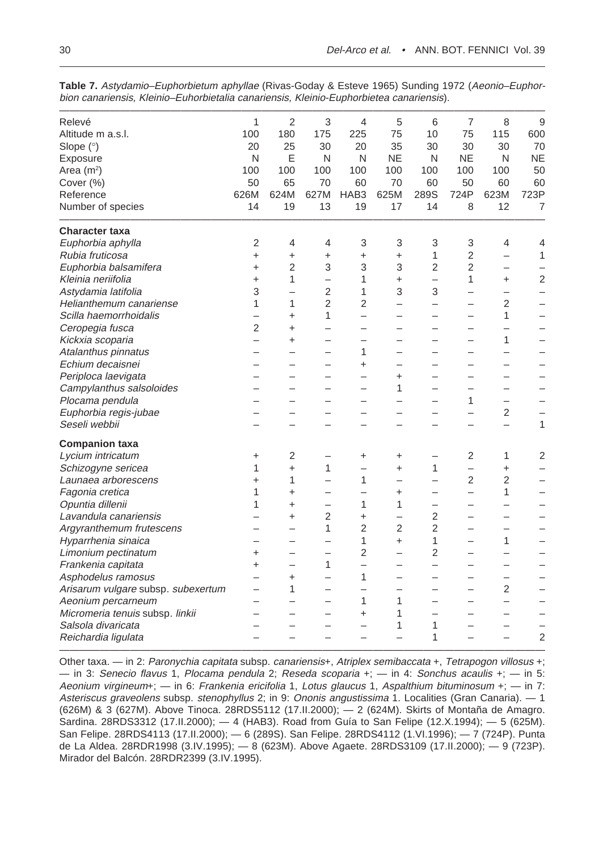| Relevé                             | 1                        | $\overline{2}$           | 3                        | $\overline{4}$           | 5                        | 6                        | 7                        | 8                        | 9              |
|------------------------------------|--------------------------|--------------------------|--------------------------|--------------------------|--------------------------|--------------------------|--------------------------|--------------------------|----------------|
| Altitude m a.s.l.                  | 100                      | 180                      | 175                      | 225                      | 75                       | 10                       | 75                       | 115                      | 600            |
| Slope (°)                          | 20                       | 25                       | 30                       | 20                       | 35                       | 30                       | 30                       | 30                       | 70             |
| Exposure                           | N                        | E                        | N                        | N                        | <b>NE</b>                | N                        | <b>NE</b>                | N                        | <b>NE</b>      |
| Area $(m2)$                        | 100                      | 100                      | 100                      | 100                      | 100                      | 100                      | 100                      | 100                      | 50             |
| Cover (%)                          | 50                       | 65                       | 70                       | 60                       | 70                       | 60                       | 50                       | 60                       | 60             |
| Reference                          | 626M                     | 624M                     | 627M                     | HAB <sub>3</sub>         | 625M                     | 289S                     | 724P                     | 623M                     | 723P           |
| Number of species                  | 14                       | 19                       | 13                       | 19                       | 17                       | 14                       | 8                        | 12                       | $\overline{7}$ |
| <b>Character taxa</b>              |                          |                          |                          |                          |                          |                          |                          |                          |                |
| Euphorbia aphylla                  | $\overline{2}$           | 4                        | 4                        | 3                        | 3                        | 3                        | 3                        | 4                        | 4              |
| Rubia fruticosa                    | $\ddot{}$                | $\ddot{}$                | $\ddot{}$                | $\ddot{}$                | $\ddot{}$                | $\mathbf{1}$             | $\overline{c}$           |                          | $\mathbf{1}$   |
| Euphorbia balsamifera              | $\ddot{}$                | $\overline{2}$           | 3                        | 3                        | 3                        | $\overline{2}$           | $\overline{2}$           | $\overline{\phantom{0}}$ |                |
| Kleinia neriifolia                 | +                        | 1                        | $\overline{\phantom{0}}$ | 1                        | $\ddot{}$                | $\overline{\phantom{0}}$ | 1                        | +                        | $\overline{2}$ |
| Astydamia latifolia                | 3                        | $\overline{\phantom{0}}$ | $\overline{2}$           | 1                        | 3                        | 3                        | $\overline{\phantom{0}}$ | ÷.                       |                |
| Helianthemum canariense            | 1                        | 1                        | $\overline{2}$           | $\overline{2}$           | $\overline{\phantom{0}}$ | $\overline{\phantom{0}}$ | $\overline{\phantom{0}}$ | $\overline{2}$           |                |
| Scilla haemorrhoidalis             |                          | $\ddot{}$                | $\mathbf{1}$             |                          |                          | L                        | L.                       | 1                        |                |
| Ceropegia fusca                    | $\overline{2}$           | +                        |                          |                          |                          |                          |                          |                          |                |
| Kickxia scoparia                   | $\overline{\phantom{0}}$ | $\ddot{}$                | $\overline{\phantom{0}}$ |                          |                          | $\overline{\phantom{0}}$ | $\overline{\phantom{0}}$ | 1                        |                |
| Atalanthus pinnatus                |                          |                          |                          | 1                        |                          |                          |                          |                          |                |
| Echium decaisnei                   |                          |                          |                          | $\pmb{+}$                |                          | -                        | ۰                        |                          |                |
| Periploca laevigata                |                          |                          |                          |                          | $\ddot{}$                | —                        | <u>.</u>                 |                          |                |
| Campylanthus salsoloides           |                          |                          |                          |                          | 1                        | <u>.</u>                 | -                        |                          |                |
| Plocama pendula                    |                          |                          |                          |                          |                          |                          | 1                        |                          |                |
| Euphorbia regis-jubae              |                          |                          |                          |                          |                          | <u>.</u>                 | -                        | 2                        |                |
| Seseli webbii                      |                          |                          |                          |                          |                          |                          |                          | $\overline{\phantom{0}}$ | $\mathbf{1}$   |
| <b>Companion taxa</b>              |                          |                          |                          |                          |                          |                          |                          |                          |                |
| Lycium intricatum                  | +                        | 2                        | $\overline{\phantom{0}}$ | +                        | +                        | —                        | 2                        | 1                        | $\overline{c}$ |
| Schizogyne sericea                 | 1                        | $\ddot{}$                | 1                        |                          | +                        | 1                        | $\overline{\phantom{0}}$ | +                        |                |
| Launaea arborescens                | +                        | 1                        | $\overline{\phantom{0}}$ | 1                        | -                        | $\overline{\phantom{0}}$ | $\overline{2}$           | $\overline{2}$           |                |
| Fagonia cretica                    | 1                        | $\ddot{}$                | $\overline{\phantom{0}}$ |                          | +                        | $\overline{\phantom{0}}$ | $\overline{\phantom{0}}$ | 1                        |                |
| Opuntia dillenii                   | 1                        | +                        | -                        | 1                        | 1                        | -                        |                          |                          |                |
| Lavandula canariensis              |                          | +                        | $\overline{2}$           | +                        | -                        | 2                        | ÷,                       |                          |                |
| Argyranthemum frutescens           |                          |                          | $\mathbf{1}$             | $\overline{2}$           | $\overline{2}$           | 2                        | -                        |                          |                |
| Hyparrhenia sinaica                |                          |                          |                          | 1                        | +                        | 1                        | -                        | 1                        |                |
| Limonium pectinatum                | +                        |                          | -                        | $\overline{2}$           | -                        | 2                        |                          |                          |                |
| Frankenia capitata                 | +                        |                          | 1                        | $\overline{\phantom{0}}$ |                          | $\overline{\phantom{0}}$ |                          |                          |                |
| Asphodelus ramosus                 |                          | $\ddot{}$                | $\overline{\phantom{0}}$ | 1                        | -                        | -                        |                          | ۰                        |                |
| Arisarum vulgare subsp. subexertum |                          | 1                        |                          |                          |                          |                          |                          | 2                        |                |
| Aeonium percarneum                 |                          |                          |                          | 1                        | 1                        |                          |                          |                          |                |
| Micromeria tenuis subsp. linkii    |                          |                          |                          | +                        | 1                        | -                        |                          |                          |                |
| Salsola divaricata                 |                          |                          |                          |                          | 1                        | 1                        |                          |                          |                |
| Reichardia ligulata                |                          |                          |                          |                          |                          | 1                        |                          |                          | $\overline{2}$ |

**Table 7.** Astydamio–Euphorbietum aphyllae (Rivas-Goday & Esteve 1965) Sunding 1972 (Aeonio–Euphorbion canariensis, Kleinio–Euhorbietalia canariensis, Kleinio-Euphorbietea canariensis).

 $\mathcal{L}=\mathcal{L}^{\text{max}}$  , we can consider the constant of  $\mathcal{L}^{\text{max}}$ Other taxa. — in 2: Paronychia capitata subsp. canariensis+, Atriplex semibaccata +, Tetrapogon villosus +; — in 3: Senecio flavus 1, Plocama pendula 2; Reseda scoparia  $+; -$  in 4: Sonchus acaulis  $+; -$  in 5: Aeonium virgineum+; — in 6: Frankenia ericifolia 1, Lotus glaucus 1, Aspalthium bituminosum +; — in 7: Asteriscus graveolens subsp. stenophyllus 2; in 9: Ononis angustissima 1. Localities (Gran Canaria). - 1 (626M) & 3 (627M). Above Tinoca. 28RDS5112 (17.II.2000); — 2 (624M). Skirts of Montaña de Amagro. Sardina. 28RDS3312 (17.II.2000); — 4 (HAB3). Road from Guía to San Felipe (12.X.1994); — 5 (625M). San Felipe. 28RDS4113 (17.II.2000); — 6 (289S). San Felipe. 28RDS4112 (1.VI.1996); — 7 (724P). Punta de La Aldea. 28RDR1998 (3.IV.1995); — 8 (623M). Above Agaete. 28RDS3109 (17.II.2000); — 9 (723P). Mirador del Balcón. 28RDR2399 (3.IV.1995).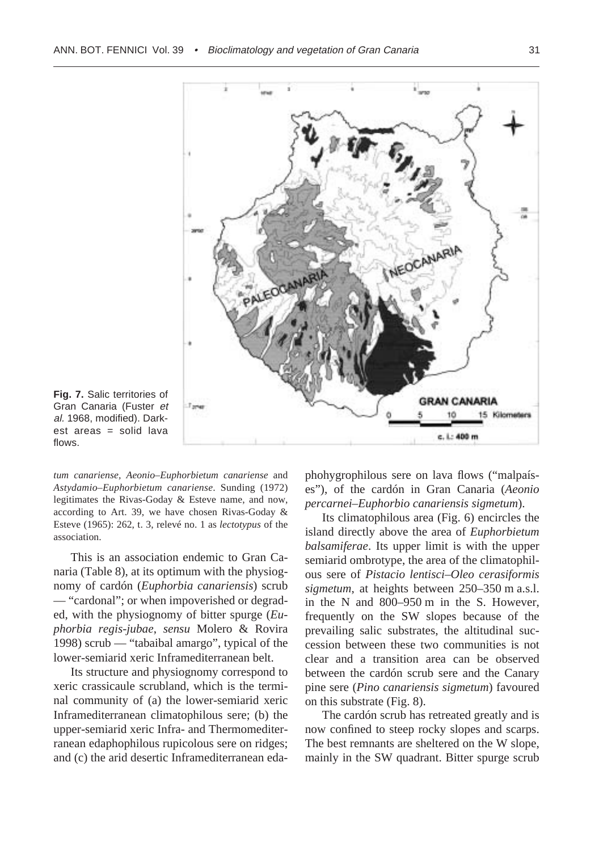

**Fig. 7.** Salic territories of Gran Canaria (Fuster et al. 1968, modified). Darkest areas = solid lava flows.

*tum canariense, Aeonio–Euphorbietum canariense* and *Astydamio–Euphorbietum canariense*. Sunding (1972) legitimates the Rivas-Goday & Esteve name, and now, according to Art. 39, we have chosen Rivas-Goday & Esteve (1965): 262, t. 3, relevé no. 1 as *lectotypus* of the association.

This is an association endemic to Gran Canaria (Table 8), at its optimum with the physiognomy of cardón (*Euphorbia canariensis*) scrub — "cardonal"; or when impoverished or degraded, with the physiognomy of bitter spurge (*Euphorbia regis-jubae*, *sensu* Molero & Rovira 1998) scrub — "tabaibal amargo", typical of the lower-semiarid xeric Inframediterranean belt.

Its structure and physiognomy correspond to xeric crassicaule scrubland, which is the terminal community of (a) the lower-semiarid xeric Inframediterranean climatophilous sere; (b) the upper-semiarid xeric Infra- and Thermomediterranean edaphophilous rupicolous sere on ridges; and (c) the arid desertic Inframediterranean eda-

phohygrophilous sere on lava flows ("malpaíses"), of the cardón in Gran Canaria (*Aeonio percarnei–Euphorbio canariensis sigmetum*).

Its climatophilous area (Fig. 6) encircles the island directly above the area of *Euphorbietum balsamiferae*. Its upper limit is with the upper semiarid ombrotype, the area of the climatophilous sere of *Pistacio lentisci–Oleo cerasiformis sigmetum*, at heights between 250–350 m a.s.l. in the N and 800–950 m in the S. However, frequently on the SW slopes because of the prevailing salic substrates, the altitudinal succession between these two communities is not clear and a transition area can be observed between the cardón scrub sere and the Canary pine sere (*Pino canariensis sigmetum*) favoured on this substrate (Fig. 8).

The cardón scrub has retreated greatly and is now confined to steep rocky slopes and scarps. The best remnants are sheltered on the W slope, mainly in the SW quadrant. Bitter spurge scrub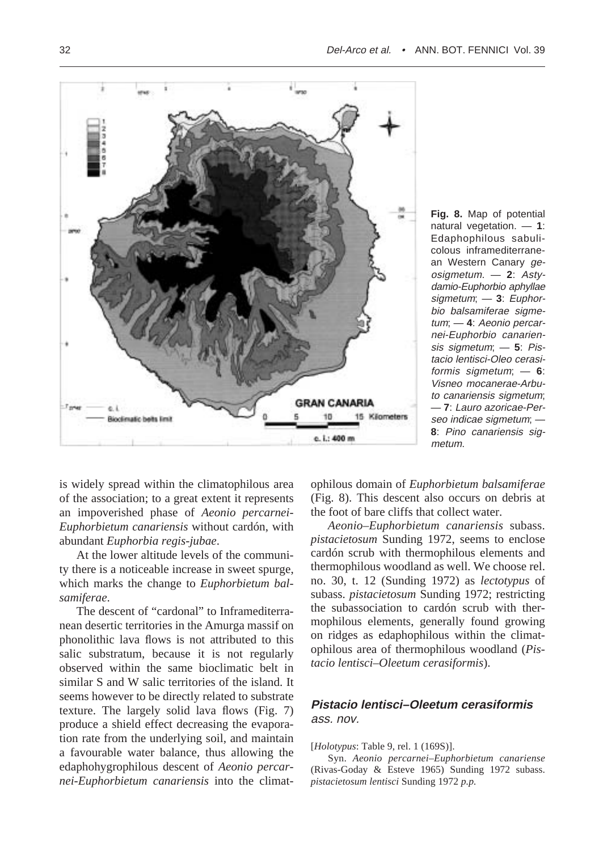

**Fig. 8.** Map of potential natural vegetation. — **1**: Edaphophilous sabulicolous inframediterranean Western Canary geosigmetum. — **2**: Astydamio-Euphorbio aphyllae sigmetum; — **3**: Euphorbio balsamiferae sigmetum; — **4**: Aeonio percarnei-Euphorbio canariensis sigmetum; — **5**: Pistacio lentisci-Oleo cerasiformis sigmetum; — **6**: Visneo mocanerae-Arbuto canariensis sigmetum; — **7**: Lauro azoricae-Perseo indicae sigmetum; — **8**: Pino canariensis sigmetum.

is widely spread within the climatophilous area of the association; to a great extent it represents an impoverished phase of *Aeonio percarnei-Euphorbietum canariensis* without cardón, with abundant *Euphorbia regis-jubae*.

At the lower altitude levels of the community there is a noticeable increase in sweet spurge, which marks the change to *Euphorbietum balsamiferae*.

The descent of "cardonal" to Inframediterranean desertic territories in the Amurga massif on phonolithic lava flows is not attributed to this salic substratum, because it is not regularly observed within the same bioclimatic belt in similar S and W salic territories of the island. It seems however to be directly related to substrate texture. The largely solid lava flows (Fig. 7) produce a shield effect decreasing the evaporation rate from the underlying soil, and maintain a favourable water balance, thus allowing the edaphohygrophilous descent of *Aeonio percarnei-Euphorbietum canariensis* into the climatophilous domain of *Euphorbietum balsamiferae* (Fig. 8). This descent also occurs on debris at the foot of bare cliffs that collect water.

*Aeonio–Euphorbietum canariensis* subass. *pistacietosum* Sunding 1972, seems to enclose cardón scrub with thermophilous elements and thermophilous woodland as well. We choose rel. no. 30, t. 12 (Sunding 1972) as *lectotypus* of subass. *pistacietosum* Sunding 1972; restricting the subassociation to cardón scrub with thermophilous elements, generally found growing on ridges as edaphophilous within the climatophilous area of thermophilous woodland (*Pistacio lentisci–Oleetum cerasiformis*).

## **Pistacio lentisci–Oleetum cerasiformis** ass. nov.

#### [*Holotypus*: Table 9, rel. 1 (169S)].

Syn. *Aeonio percarnei–Euphorbietum canariense* (Rivas-Goday & Esteve 1965) Sunding 1972 subass. *pistacietosum lentisci* Sunding 1972 *p.p.*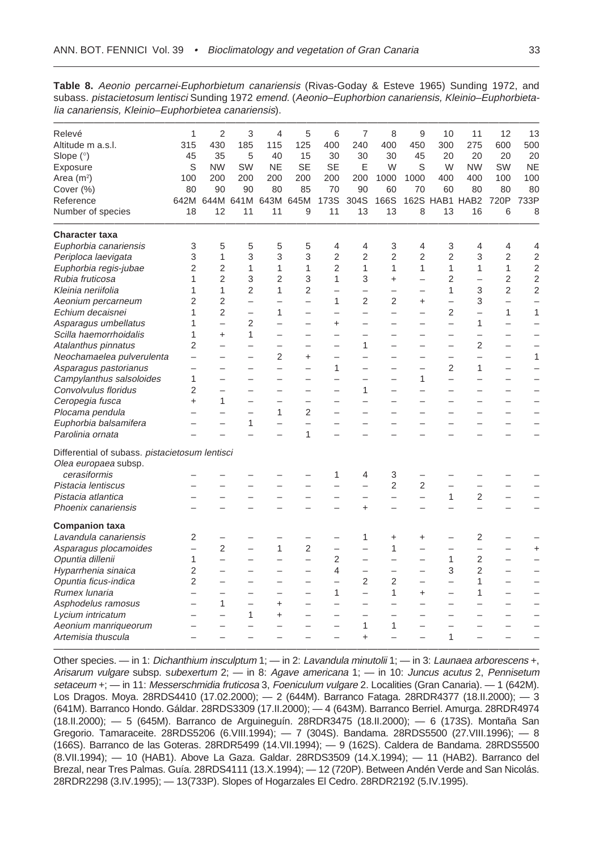**Table 8.** Aeonio percarnei-Euphorbietum canariensis (Rivas-Goday & Esteve 1965) Sunding 1972, and subass. pistacietosum lentisci Sunding 1972 emend. (Aeonio–Euphorbion canariensis, Kleinio–Euphorbietalia canariensis, Kleinio–Euphorbietea canariensis).

| Relevé                                         | 1                        | 2                        | 3                        | 4                        | 5                        | 6                        | 7                        | 8                        | 9                        | 10                       | 11                       | 12                       | 13                       |
|------------------------------------------------|--------------------------|--------------------------|--------------------------|--------------------------|--------------------------|--------------------------|--------------------------|--------------------------|--------------------------|--------------------------|--------------------------|--------------------------|--------------------------|
| Altitude m a.s.l.                              | 315                      | 430                      | 185                      | 115                      | 125                      | 400                      | 240                      | 400                      | 450                      | 300                      | 275                      | 600                      | 500                      |
| Slope (°)                                      | 45                       | 35                       | 5                        | 40                       | 15                       | 30                       | 30                       | 30                       | 45                       | 20                       | 20                       | 20                       | 20                       |
| Exposure                                       | S                        | <b>NW</b>                | SW                       | <b>NE</b>                | <b>SE</b>                | <b>SE</b>                | Ε                        | W                        | S                        | W                        | <b>NW</b>                | SW                       | <b>NE</b>                |
| Area $(m2)$                                    | 100                      | 200                      | 200                      | 200                      | 200                      | 200                      | 200                      | 1000                     | 1000                     | 400                      | 400                      | 100                      | 100                      |
| Cover (%)                                      | 80                       | 90                       | 90                       | 80                       | 85                       | 70                       | 90                       | 60                       | 70                       | 60                       | 80                       | 80                       | 80                       |
| Reference                                      | 642M                     |                          | 644M 641M                |                          | 643M 645M                | 173S                     | 304S                     | 166S                     | 162S                     |                          | HAB1 HAB2                | 720P                     | 733P                     |
| Number of species                              | 18                       | 12                       | 11                       | 11                       | 9                        | 11                       | 13                       | 13                       | 8                        | 13                       | 16                       | 6                        | 8                        |
| <b>Character taxa</b>                          |                          |                          |                          |                          |                          |                          |                          |                          |                          |                          |                          |                          |                          |
| Euphorbia canariensis                          | 3                        | 5                        | 5                        | 5                        | 5                        | 4                        | 4                        | 3                        | 4                        | 3                        | 4                        | 4                        | 4                        |
| Periploca laevigata                            | 3                        | $\mathbf{1}$             | 3                        | 3                        | 3                        | $\overline{2}$           | $\overline{2}$           | $\overline{2}$           | $\overline{2}$           | $\overline{2}$           | 3                        | $\overline{2}$           | $\overline{2}$           |
| Euphorbia regis-jubae                          | $\overline{2}$           | $\overline{2}$           | 1                        | 1                        | 1                        | $\overline{2}$           | $\mathbf{1}$             | 1                        | $\mathbf{1}$             | 1                        | $\mathbf{1}$             | $\mathbf{1}$             | $\overline{2}$           |
| Rubia fruticosa                                | 1                        | $\overline{2}$           | 3                        | $\overline{2}$           | 3                        | $\mathbf{1}$             | 3                        | $\ddot{}$                | $\overline{\phantom{0}}$ | $\overline{2}$           | $\overline{\phantom{0}}$ | $\overline{2}$           | $\overline{2}$           |
| Kleinia neriifolia                             | 1                        | 1                        | $\overline{2}$           | $\mathbf{1}$             | $\overline{2}$           | $\overline{\phantom{0}}$ | $\overline{\phantom{0}}$ |                          | $\overline{\phantom{0}}$ | 1                        | 3                        | $\overline{2}$           | 2                        |
| Aeonium percarneum                             | $\overline{2}$           | $\overline{2}$           | $\equiv$                 |                          | $\overline{a}$           | $\mathbf{1}$             | $\overline{2}$           | $\overline{2}$           | $\ddot{}$                | $\overline{\phantom{0}}$ | 3                        | $\overline{\phantom{0}}$ | $\overline{\phantom{0}}$ |
| Echium decaisnei                               | 1                        | $\overline{2}$           | $\overline{\phantom{0}}$ | $\mathbf{1}$             | $\equiv$                 | $\overline{\phantom{0}}$ | $\overline{\phantom{0}}$ | $\overline{\phantom{0}}$ | $\overline{\phantom{0}}$ | $\overline{2}$           | $\overline{a}$           | 1                        | $\mathbf{1}$             |
| Asparagus umbellatus                           | 1                        | $\overline{\phantom{0}}$ | 2                        |                          |                          | $\ddot{}$                |                          |                          |                          | $\overline{\phantom{0}}$ | 1                        | $\overline{\phantom{0}}$ |                          |
| Scilla haemorrhoidalis                         | 1                        | $\ddot{}$                | $\mathbf{1}$             |                          |                          |                          |                          |                          |                          |                          |                          |                          | $\overline{\phantom{0}}$ |
| Atalanthus pinnatus                            | $\overline{2}$           | $\overline{\phantom{0}}$ | $\overline{\phantom{0}}$ | $\overline{\phantom{0}}$ | $\overline{\phantom{0}}$ | $\overline{\phantom{0}}$ | 1                        | $\overline{\phantom{0}}$ | $\overline{\phantom{0}}$ | $\overline{\phantom{0}}$ | 2                        | $\overline{\phantom{0}}$ | $\overline{\phantom{0}}$ |
| Neochamaelea pulverulenta                      | $\overline{\phantom{0}}$ | $\overline{a}$           | $\overline{\phantom{0}}$ | $\overline{2}$           | $\ddot{}$                | $\overline{\phantom{0}}$ | $\overline{\phantom{0}}$ | $\overline{\phantom{0}}$ | $\overline{\phantom{0}}$ | $\overline{\phantom{0}}$ | $\overline{\phantom{0}}$ | $\overline{\phantom{0}}$ | 1                        |
| Asparagus pastorianus                          | $\overline{\phantom{0}}$ |                          | $\equiv$                 | $\overline{\phantom{0}}$ | $\overline{\phantom{a}}$ | $\mathbf{1}$             | $\equiv$                 |                          | $\overline{\phantom{0}}$ | $\overline{2}$           | $\mathbf{1}$             | $\overline{\phantom{0}}$ | $\overline{\phantom{0}}$ |
| Campylanthus salsoloides                       | 1                        | $\overline{\phantom{0}}$ | $\overline{\phantom{0}}$ | $\overline{\phantom{0}}$ | $\equiv$                 | $\overline{\phantom{0}}$ | $\overline{\phantom{0}}$ | $\overline{\phantom{0}}$ | 1                        | $\overline{\phantom{0}}$ | $\equiv$                 | $\overline{\phantom{0}}$ |                          |
| Convolvulus floridus                           | 2                        |                          |                          |                          |                          |                          | 1                        |                          |                          |                          |                          |                          |                          |
| Ceropegia fusca                                | $\ddot{}$                | $\mathbf{1}$             |                          | $\overline{\phantom{0}}$ | $\overline{\phantom{0}}$ | $\overline{\phantom{0}}$ | $\overline{\phantom{0}}$ |                          | $\overline{\phantom{0}}$ | $\overline{\phantom{0}}$ | $\overline{\phantom{0}}$ | $\overline{\phantom{0}}$ | $\overline{\phantom{0}}$ |
| Plocama pendula                                | $\overline{\phantom{0}}$ | $\overline{\phantom{0}}$ |                          | 1                        | $\overline{2}$           | $\overline{\phantom{0}}$ | $\overline{\phantom{0}}$ |                          |                          | $\overline{\phantom{0}}$ | $\overline{\phantom{0}}$ | $\overline{\phantom{0}}$ |                          |
| Euphorbia balsamifera                          |                          |                          | $\mathbf{1}$             |                          | $\overline{\phantom{0}}$ | $\overline{\phantom{0}}$ |                          |                          |                          |                          |                          |                          |                          |
| Parolinia ornata                               |                          |                          |                          |                          | $\mathbf{1}$             |                          |                          |                          |                          |                          |                          |                          |                          |
| Differential of subass. pistacietosum lentisci |                          |                          |                          |                          |                          |                          |                          |                          |                          |                          |                          |                          |                          |
| Olea europaea subsp.                           |                          |                          |                          |                          |                          |                          |                          |                          |                          |                          |                          |                          |                          |
| cerasiformis                                   |                          |                          |                          |                          |                          | 1                        | 4                        | 3                        |                          |                          |                          |                          |                          |
| Pistacia lentiscus                             |                          |                          |                          |                          | $\overline{\phantom{0}}$ | $\overline{\phantom{0}}$ | $\overline{\phantom{0}}$ | $\overline{2}$           | $\overline{2}$           | $\overline{\phantom{0}}$ |                          |                          |                          |
| Pistacia atlantica                             |                          | $\overline{\phantom{0}}$ |                          |                          | $\overline{\phantom{0}}$ | $\overline{\phantom{0}}$ | $\overline{\phantom{0}}$ | $\overline{\phantom{0}}$ | $\overline{\phantom{0}}$ | 1                        | 2                        | $\overline{\phantom{0}}$ |                          |
| Phoenix canariensis                            |                          | $\overline{\phantom{a}}$ |                          |                          |                          | $\overline{\phantom{0}}$ | $\ddot{}$                | $\overline{\phantom{0}}$ |                          |                          | $\overline{a}$           | $\overline{\phantom{0}}$ | $\overline{\phantom{a}}$ |
| <b>Companion taxa</b>                          |                          |                          |                          |                          |                          |                          |                          |                          |                          |                          |                          |                          |                          |
| Lavandula canariensis                          | 2                        |                          |                          |                          |                          |                          | 1                        | $\ddot{}$                | $\ddot{}$                |                          | 2                        |                          |                          |
| Asparagus plocamoides                          | $\overline{\phantom{0}}$ | $\overline{2}$           |                          | $\mathbf{1}$             | $\overline{2}$           | $\overline{\phantom{0}}$ |                          | 1                        | $\overline{\phantom{0}}$ | $\overline{\phantom{0}}$ | $\overline{a}$           | $\overline{\phantom{0}}$ | $\ddot{}$                |
| Opuntia dillenii                               | $\mathbf{1}$             | $\overline{a}$           | $\equiv$                 | $\overline{\phantom{0}}$ | $\overline{a}$           | $\overline{2}$           | $\equiv$                 | $\equiv$                 | $\overline{\phantom{0}}$ | 1                        | $\overline{2}$           | $\overline{\phantom{0}}$ | $\overline{\phantom{0}}$ |
| Hyparrhenia sinaica                            | $\overline{2}$           | $\overline{\phantom{0}}$ |                          |                          | $\overline{\phantom{0}}$ | 4                        | $\overline{\phantom{0}}$ | $\overline{\phantom{0}}$ |                          | 3                        | $\overline{2}$           | $\overline{\phantom{0}}$ |                          |
| Opuntia ficus-indica                           | $\overline{2}$           | $\overline{\phantom{0}}$ |                          |                          | $\overline{\phantom{0}}$ | $\overline{\phantom{0}}$ | 2                        | $\overline{2}$           | $\overline{\phantom{0}}$ | $\overline{\phantom{0}}$ | 1                        |                          |                          |
| Rumex lunaria                                  |                          | $\overline{\phantom{0}}$ |                          | $\overline{\phantom{0}}$ | $\overline{\phantom{0}}$ | $\mathbf{1}$             | $\overline{a}$           | 1                        | $\ddot{}$                | $\overline{\phantom{0}}$ | 1                        |                          |                          |
| Asphodelus ramosus                             |                          | 1                        |                          | $\ddot{}$                | $\overline{\phantom{0}}$ |                          |                          |                          |                          | $\overline{\phantom{0}}$ |                          |                          |                          |
| Lycium intricatum                              |                          | $\overline{\phantom{0}}$ | 1                        | $\ddot{}$                |                          |                          |                          |                          |                          |                          |                          |                          | $\overline{\phantom{0}}$ |
| Aeonium manriqueorum                           | -                        | $\overline{\phantom{0}}$ |                          |                          | $\overline{\phantom{0}}$ | $\overline{\phantom{0}}$ | $\mathbf{1}$             | 1                        | $\overline{\phantom{0}}$ | $\overline{\phantom{0}}$ | $\overline{\phantom{0}}$ | -                        |                          |
| Artemisia thuscula                             |                          |                          |                          |                          |                          |                          | $\ddot{}$                |                          |                          | 1                        |                          |                          |                          |

Other species. — in 1: Dichanthium insculptum 1; — in 2: Lavandula minutolii 1; — in 3: Launaea arborescens +, Arisarum vulgare subsp. subexertum 2; — in 8: Agave americana 1; — in 10: Juncus acutus 2, Pennisetum setaceum +; - in 11: Messerschmidia fruticosa 3, Foeniculum vulgare 2. Localities (Gran Canaria). - 1 (642M). Los Dragos. Moya. 28RDS4410 (17.02.2000); — 2 (644M). Barranco Fataga. 28RDR4377 (18.II.2000); — 3 (641M). Barranco Hondo. Gáldar. 28RDS3309 (17.II.2000); — 4 (643M). Barranco Berriel. Amurga. 28RDR4974 (18.II.2000); — 5 (645M). Barranco de Arguineguín. 28RDR3475 (18.II.2000); — 6 (173S). Montaña San Gregorio. Tamaraceite. 28RDS5206 (6.VIII.1994); — 7 (304S). Bandama. 28RDS5500 (27.VIII.1996); — 8 (166S). Barranco de las Goteras. 28RDR5499 (14.VII.1994); — 9 (162S). Caldera de Bandama. 28RDS5500 (8.VII.1994); — 10 (HAB1). Above La Gaza. Galdar. 28RDS3509 (14.X.1994); — 11 (HAB2). Barranco del Brezal, near Tres Palmas. Guía. 28RDS4111 (13.X.1994); — 12 (720P). Between Andén Verde and San Nicolás. 28RDR2298 (3.IV.1995); — 13(733P). Slopes of Hogarzales El Cedro. 28RDR2192 (5.IV.1995).

————————————————————————————————————————————————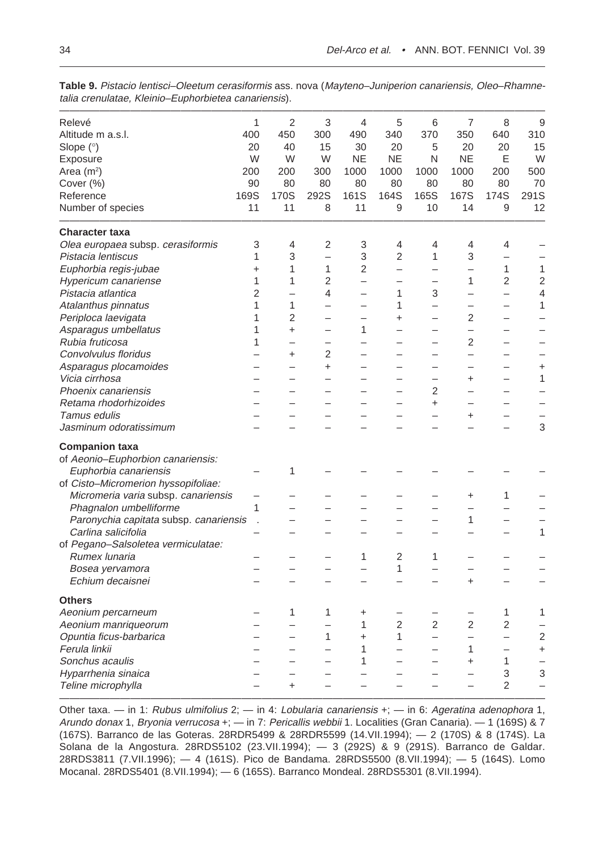| Relevé                                 | $\mathbf{1}$   | $\overline{2}$           | 3                        | $\overline{4}$           | 5                        | 6                        | $\overline{7}$           | 8                        | 9                        |
|----------------------------------------|----------------|--------------------------|--------------------------|--------------------------|--------------------------|--------------------------|--------------------------|--------------------------|--------------------------|
| Altitude m a.s.l.                      | 400            | 450                      | 300                      | 490                      | 340                      | 370                      | 350                      | 640                      | 310                      |
| Slope (°)                              | 20             | 40                       | 15                       | 30                       | 20                       | 5                        | 20                       | 20                       | 15                       |
| Exposure                               | W              | W                        | W                        | <b>NE</b>                | <b>NE</b>                | N                        | <b>NE</b>                | Ε                        | W                        |
| Area $(m^2)$                           | 200            | 200                      | 300                      | 1000                     | 1000                     | 1000                     | 1000                     | 200                      | 500                      |
| Cover (%)                              | 90             | 80                       | 80                       | 80                       | 80                       | 80                       | 80                       | 80                       | 70                       |
| Reference                              | 169S           | 170S                     | 292S                     | 161S                     | 164S                     | 165S                     | 167S                     | 174S                     | 291S                     |
| Number of species                      | 11             | 11                       | 8                        | 11                       | 9                        | 10                       | 14                       | 9                        | 12                       |
| <b>Character taxa</b>                  |                |                          |                          |                          |                          |                          |                          |                          |                          |
| Olea europaea subsp. cerasiformis      | 3              | 4                        | 2                        | 3                        | 4                        | $\overline{4}$           | 4                        | 4                        |                          |
| Pistacia lentiscus                     | 1              | 3                        | $\overline{a}$           | 3                        | $\overline{2}$           | $\mathbf{1}$             | 3                        | -                        |                          |
| Euphorbia regis-jubae                  | $\ddot{}$      | 1                        | 1                        | $\overline{2}$           | $\overline{\phantom{0}}$ | —                        | $\overline{\phantom{0}}$ | 1                        | 1                        |
| Hypericum canariense                   | 1              | 1                        | $\overline{2}$           | -                        |                          |                          | 1                        | 2                        | 2                        |
| Pistacia atlantica                     | $\overline{2}$ |                          | 4                        |                          | 1                        | 3                        | $\overline{\phantom{0}}$ | —                        | 4                        |
| Atalanthus pinnatus                    | 1              | 1                        | —                        |                          | 1                        | $\overline{\phantom{0}}$ | -                        |                          | $\mathbf{1}$             |
| Periploca laevigata                    | 1              | $\overline{2}$           | $\overline{\phantom{0}}$ | $\overline{\phantom{0}}$ | $\ddot{}$                | $\overline{\phantom{0}}$ | $\overline{2}$           | —                        | $\overline{\phantom{0}}$ |
| Asparagus umbellatus                   | 1              | $\ddot{}$                | $\overline{\phantom{0}}$ | 1                        | $\overline{\phantom{0}}$ | -                        | -                        |                          |                          |
| Rubia fruticosa                        | 1              | $\equiv$                 | $\qquad \qquad -$        |                          | $\equiv$                 | $\overline{\phantom{0}}$ | $\overline{2}$           | $\equiv$                 | $\overline{\phantom{0}}$ |
| Convolvulus floridus                   |                | $\ddot{}$                | $\overline{2}$           |                          |                          | -                        | $\overline{\phantom{0}}$ |                          |                          |
| Asparagus plocamoides                  |                |                          | $\ddot{}$                |                          |                          |                          |                          |                          | +                        |
| Vicia cirrhosa                         |                |                          |                          |                          |                          | $\overline{\phantom{0}}$ | $\ddot{}$                |                          | 1                        |
| Phoenix canariensis                    |                |                          |                          |                          |                          | $\overline{2}$           | $\overline{\phantom{0}}$ |                          |                          |
| Retama rhodorhizoides                  |                |                          |                          |                          |                          | $\ddot{}$                |                          |                          |                          |
| Tamus edulis                           |                |                          |                          |                          |                          |                          | $\ddot{}$                |                          |                          |
| Jasminum odoratissimum                 |                |                          |                          |                          |                          |                          |                          |                          | 3                        |
| <b>Companion taxa</b>                  |                |                          |                          |                          |                          |                          |                          |                          |                          |
| of Aeonio-Euphorbion canariensis:      |                |                          |                          |                          |                          |                          |                          |                          |                          |
| Euphorbia canariensis                  |                | 1                        |                          |                          |                          |                          |                          |                          |                          |
| of Cisto-Micromerion hyssopifoliae:    |                |                          |                          |                          |                          |                          |                          |                          |                          |
| Micromeria varia subsp. canariensis    |                |                          |                          |                          |                          |                          | +                        | 1                        |                          |
| Phagnalon umbelliforme                 | 1              |                          |                          |                          |                          |                          |                          |                          |                          |
| Paronychia capitata subsp. canariensis | $\cdot$        |                          |                          |                          |                          |                          | 1                        |                          |                          |
| Carlina salicifolia                    |                |                          |                          |                          |                          | -                        | $\overline{\phantom{0}}$ |                          | 1                        |
| of Pegano-Salsoletea vermiculatae:     |                |                          |                          |                          |                          |                          |                          |                          |                          |
| Rumex lunaria                          |                |                          |                          | 1                        | $\overline{2}$           | 1                        | $\overline{\phantom{0}}$ |                          |                          |
| Bosea yervamora                        |                |                          | —                        |                          | 1                        | $\overline{\phantom{0}}$ | -                        |                          |                          |
| Echium decaisnei                       |                | $\overline{\phantom{0}}$ | $\overline{\phantom{0}}$ |                          | ÷                        | $\overline{\phantom{0}}$ | $\ddot{}$                | $\overline{\phantom{0}}$ |                          |
| <b>Others</b>                          |                |                          |                          |                          |                          |                          |                          |                          |                          |
| Aeonium percarneum                     |                | 1                        | 1                        | +                        |                          |                          | -                        | 1                        | 1                        |
| Aeonium manriqueorum                   |                |                          | $\overline{\phantom{0}}$ | 1                        | $\overline{2}$           | 2                        | 2                        | 2                        |                          |
| Opuntia ficus-barbarica                |                | $\overline{\phantom{0}}$ | 1                        | +                        | 1                        | $\overline{\phantom{0}}$ | $\overline{\phantom{0}}$ | $\overline{\phantom{0}}$ | 2                        |
| Ferula linkii                          |                | $\overline{\phantom{0}}$ | $\overline{\phantom{0}}$ | 1                        | $\overline{\phantom{0}}$ | $\overline{\phantom{0}}$ | 1                        | $\overline{\phantom{0}}$ | $\ddot{}$                |
| Sonchus acaulis                        |                |                          | -                        | 1                        |                          |                          | $\ddot{}$                | $\mathbf{1}$             |                          |
| Hyparrhenia sinaica                    |                |                          |                          |                          |                          |                          |                          | 3                        | 3                        |
| Teline microphylla                     |                |                          |                          |                          |                          |                          |                          | $\overline{2}$           |                          |

**Table 9.** Pistacio lentisci–Oleetum cerasiformis ass. nova (Mayteno–Juniperion canariensis, Oleo–Rhamnetalia crenulatae, Kleinio–Euphorbietea canariensis).

Other taxa. — in 1: Rubus ulmifolius  $2;$  — in 4: Lobularia canariensis  $\pm$ ; — in 6: Ageratina adenophora 1, Arundo donax 1, Bryonia verrucosa +; — in 7: Pericallis webbii 1. Localities (Gran Canaria). — 1 (169S) & 7 (167S). Barranco de las Goteras. 28RDR5499 & 28RDR5599 (14.VII.1994); — 2 (170S) & 8 (174S). La Solana de la Angostura. 28RDS5102 (23.VII.1994); — 3 (292S) & 9 (291S). Barranco de Galdar. 28RDS3811 (7.VII.1996); — 4 (161S). Pico de Bandama. 28RDS5500 (8.VII.1994); — 5 (164S). Lomo Mocanal. 28RDS5401 (8.VII.1994); — 6 (165S). Barranco Mondeal. 28RDS5301 (8.VII.1994).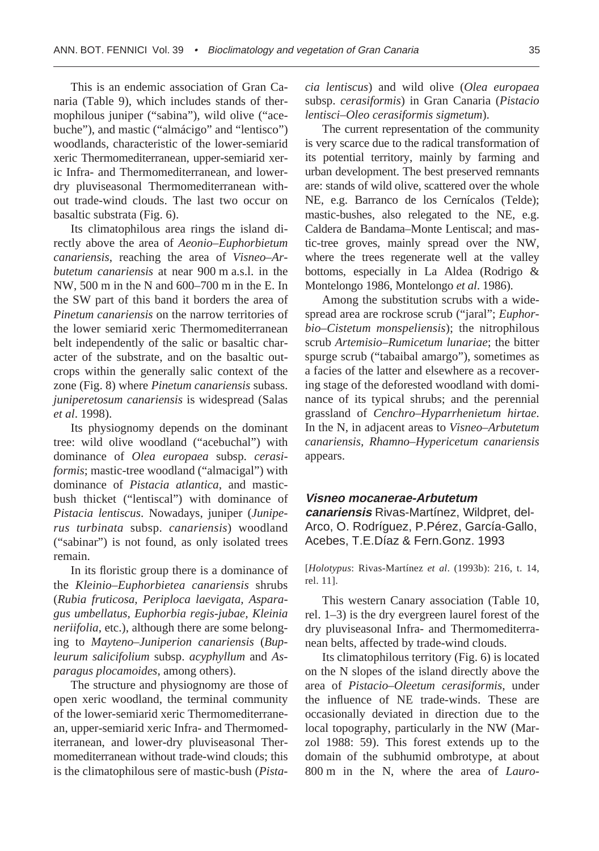This is an endemic association of Gran Canaria (Table 9), which includes stands of thermophilous juniper ("sabina"), wild olive ("acebuche"), and mastic ("almácigo" and "lentisco") woodlands, characteristic of the lower-semiarid xeric Thermomediterranean, upper-semiarid xeric Infra- and Thermomediterranean, and lowerdry pluviseasonal Thermomediterranean without trade-wind clouds. The last two occur on basaltic substrata (Fig. 6).

Its climatophilous area rings the island directly above the area of *Aeonio–Euphorbietum canariensis*, reaching the area of *Visneo–Arbutetum canariensis* at near 900 m a.s.l. in the NW, 500 m in the N and 600–700 m in the E. In the SW part of this band it borders the area of *Pinetum canariensis* on the narrow territories of the lower semiarid xeric Thermomediterranean belt independently of the salic or basaltic character of the substrate, and on the basaltic outcrops within the generally salic context of the zone (Fig. 8) where *Pinetum canariensis* subass. *juniperetosum canariensis* is widespread (Salas *et al*. 1998).

Its physiognomy depends on the dominant tree: wild olive woodland ("acebuchal") with dominance of *Olea europaea* subsp. *cerasiformis*; mastic-tree woodland ("almacigal") with dominance of *Pistacia atlantica*, and masticbush thicket ("lentiscal") with dominance of *Pistacia lentiscus*. Nowadays, juniper (*Juniperus turbinata* subsp. *canariensis*) woodland ("sabinar") is not found, as only isolated trees remain.

In its floristic group there is a dominance of the *Kleinio–Euphorbietea canariensis* shrubs (*Rubia fruticosa, Periploca laevigata, Asparagus umbellatus, Euphorbia regis-jubae, Kleinia neriifolia*, etc.), although there are some belonging to *Mayteno–Juniperion canariensis* (*Bupleurum salicifolium* subsp. *acyphyllum* and *Asparagus plocamoides*, among others).

The structure and physiognomy are those of open xeric woodland, the terminal community of the lower-semiarid xeric Thermomediterranean, upper-semiarid xeric Infra- and Thermomediterranean, and lower-dry pluviseasonal Thermomediterranean without trade-wind clouds; this is the climatophilous sere of mastic-bush (*Pista-* *cia lentiscus*) and wild olive (*Olea europaea* subsp. *cerasiformis*) in Gran Canaria (*Pistacio lentisci–Oleo cerasiformis sigmetum*).

The current representation of the community is very scarce due to the radical transformation of its potential territory, mainly by farming and urban development. The best preserved remnants are: stands of wild olive, scattered over the whole NE, e.g. Barranco de los Cernícalos (Telde); mastic-bushes, also relegated to the NE, e.g. Caldera de Bandama–Monte Lentiscal; and mastic-tree groves, mainly spread over the NW, where the trees regenerate well at the valley bottoms, especially in La Aldea (Rodrigo & Montelongo 1986, Montelongo *et al*. 1986).

Among the substitution scrubs with a widespread area are rockrose scrub ("jaral"; *Euphorbio–Cistetum monspeliensis*); the nitrophilous scrub *Artemisio–Rumicetum lunariae*; the bitter spurge scrub ("tabaibal amargo"), sometimes as a facies of the latter and elsewhere as a recovering stage of the deforested woodland with dominance of its typical shrubs; and the perennial grassland of *Cenchro–Hyparrhenietum hirtae*. In the N, in adjacent areas to *Visneo–Arbutetum canariensis, Rhamno–Hypericetum canariensis* appears.

#### **Visneo mocanerae-Arbutetum**

**canariensis** Rivas-Martínez, Wildpret, del-Arco, O. Rodríguez, P.Pérez, García-Gallo, Acebes, T.E.Díaz & Fern.Gonz. 1993

[*Holotypus*: Rivas-Martínez *et al*. (1993b): 216, t. 14, rel. 11].

This western Canary association (Table 10, rel. 1–3) is the dry evergreen laurel forest of the dry pluviseasonal Infra- and Thermomediterranean belts, affected by trade-wind clouds.

Its climatophilous territory (Fig. 6) is located on the N slopes of the island directly above the area of *Pistacio–Oleetum cerasiformis*, under the influence of NE trade-winds. These are occasionally deviated in direction due to the local topography, particularly in the NW (Marzol 1988: 59). This forest extends up to the domain of the subhumid ombrotype, at about 800 m in the N, where the area of *Lauro-*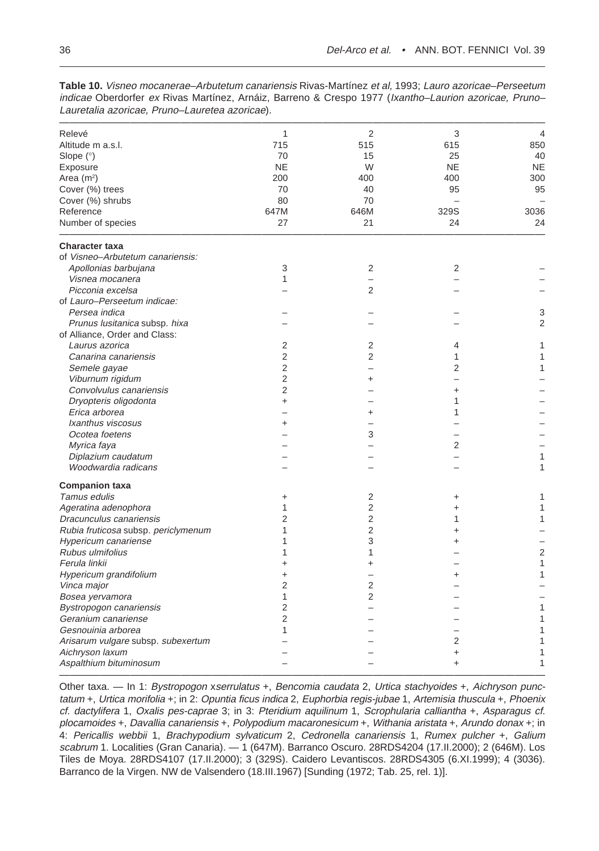| Relevé                                    | $\mathbf{1}$   | $\overline{2}$ | 3                        | $\overline{4}$ |
|-------------------------------------------|----------------|----------------|--------------------------|----------------|
| Altitude m a.s.l.                         | 715            | 515            | 615                      | 850            |
| Slope $(°)$                               | 70             | 15             | 25                       | 40             |
| Exposure                                  | <b>NE</b>      | W              | <b>NE</b>                | <b>NE</b>      |
| Area $(m2)$                               | 200            | 400            | 400                      | 300            |
| Cover (%) trees                           | 70             | 40             | 95                       | 95             |
| Cover (%) shrubs                          | 80             | 70             |                          |                |
| Reference                                 | 647M           | 646M           | 329S                     | 3036           |
| Number of species                         | 27             | 21             | 24                       | 24             |
| <b>Character taxa</b>                     |                |                |                          |                |
| of Visneo-Arbutetum canariensis:          |                |                |                          |                |
| Apollonias barbujana                      | 3              | 2              | 2                        |                |
| Visnea mocanera                           | $\mathbf{1}$   |                |                          |                |
| Picconia excelsa                          |                | $\overline{2}$ |                          |                |
| of Lauro-Perseetum indicae:               |                |                |                          |                |
| Persea indica                             |                |                |                          | 3              |
| Prunus lusitanica subsp. hixa             |                |                |                          | 2              |
| of Alliance, Order and Class:             |                |                |                          |                |
| Laurus azorica                            | $\overline{2}$ | 2              | 4                        | 1              |
| Canarina canariensis                      | $\overline{2}$ | $\overline{2}$ | 1                        | 1              |
| Semele gayae                              | $\overline{2}$ |                | 2                        | 1              |
| Viburnum rigidum                          | $\overline{2}$ | +              | $\overline{\phantom{0}}$ |                |
| Convolvulus canariensis                   | $\overline{2}$ |                | +                        |                |
| Dryopteris oligodonta                     | $\ddot{}$      |                | 1                        |                |
| Erica arborea                             |                | $\ddot{}$      | 1                        |                |
| Ixanthus viscosus                         | $\ddot{}$      |                |                          |                |
| Ocotea foetens                            |                | 3              |                          |                |
| Myrica faya                               |                |                | 2                        |                |
| Diplazium caudatum                        |                |                |                          | 1              |
| Woodwardia radicans                       |                |                |                          | 1              |
| <b>Companion taxa</b>                     |                |                |                          |                |
| Tamus edulis                              | $\ddot{}$      | 2              | $\ddot{}$                | 1              |
| Ageratina adenophora                      | 1              | $\overline{2}$ | $\ddot{}$                | 1              |
| Dracunculus canariensis                   | $\overline{2}$ | $\overline{2}$ | 1                        | 1              |
| Rubia fruticosa subsp. periclymenum       | 1              | $\overline{2}$ | +                        |                |
| Hypericum canariense                      | 1              | 3              | +                        |                |
| Rubus ulmifolius                          | 1              | 1              |                          | $\overline{2}$ |
| Ferula linkii                             | $\ddot{}$      | $\ddot{}$      |                          | 1              |
| Hypericum grandifolium                    | $\ddot{}$      |                | +                        | 1              |
| Vinca major                               | $\overline{2}$ | $\overline{2}$ |                          |                |
| Bosea yervamora                           | $\mathbf{1}$   | $\overline{2}$ |                          |                |
| Bystropogon canariensis                   | $\overline{2}$ |                |                          | 1              |
| Geranium canariense                       | 2              |                |                          | 1              |
| Gesnouinia arborea                        | 1              |                |                          | 1              |
| Arisarum vulgare subsp. subexertum        |                |                | 2                        | 1              |
| Aichryson laxum<br>Aspalthium bituminosum |                |                | $\ddot{}$<br>$\ddot{}$   | 1<br>1         |
|                                           |                |                |                          |                |

**Table 10.** Visneo mocanerae–Arbutetum canariensis Rivas-Martínez et al, 1993; Lauro azoricae–Perseetum indicae Oberdorfer ex Rivas Martínez, Arnáiz, Barreno & Crespo 1977 (Ixantho-Laurion azoricae, Pruno-Lauretalia azoricae, Pruno–Lauretea azoricae).

Other taxa. — In 1: Bystropogon xserrulatus +, Bencomia caudata 2, Urtica stachyoides +, Aichryson punctatum +, Urtica morifolia +; in 2: Opuntia ficus indica 2, Euphorbia regis-jubae 1, Artemisia thuscula +, Phoenix cf. dactylifera 1, Oxalis pes-caprae 3; in 3: Pteridium aquilinum 1, Scrophularia calliantha +, Asparagus cf. plocamoides +, Davallia canariensis +, Polypodium macaronesicum +, Withania aristata +, Arundo donax +; in 4: Pericallis webbii 1, Brachypodium sylvaticum 2, Cedronella canariensis 1, Rumex pulcher +, Galium scabrum 1. Localities (Gran Canaria). — 1 (647M). Barranco Oscuro. 28RDS4204 (17.II.2000); 2 (646M). Los Tiles de Moya. 28RDS4107 (17.II.2000); 3 (329S). Caidero Levantiscos. 28RDS4305 (6.XI.1999); 4 (3036). Barranco de la Virgen. NW de Valsendero (18.III.1967) [Sunding (1972; Tab. 25, rel. 1)].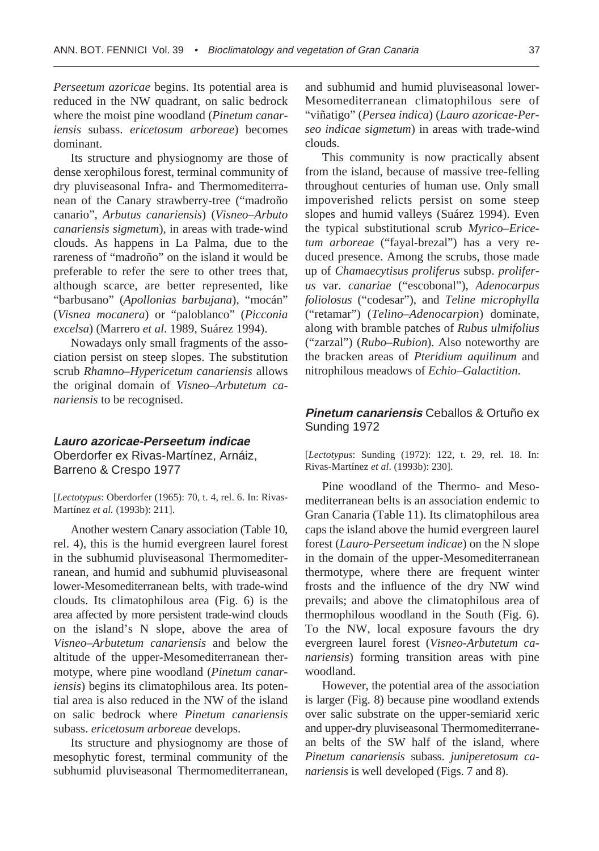*Perseetum azoricae* begins. Its potential area is reduced in the NW quadrant, on salic bedrock where the moist pine woodland (*Pinetum canariensis* subass. *ericetosum arboreae*) becomes dominant.

Its structure and physiognomy are those of dense xerophilous forest, terminal community of dry pluviseasonal Infra- and Thermomediterranean of the Canary strawberry-tree ("madroño canario", *Arbutus canariensis*) (*Visneo–Arbuto canariensis sigmetum*), in areas with trade-wind clouds. As happens in La Palma, due to the rareness of "madroño" on the island it would be preferable to refer the sere to other trees that, although scarce, are better represented, like "barbusano" (*Apollonias barbujana*), "mocán" (*Visnea mocanera*) or "paloblanco" (*Picconia excelsa*) (Marrero *et al*. 1989, Suárez 1994).

Nowadays only small fragments of the association persist on steep slopes. The substitution scrub *Rhamno–Hypericetum canariensis* allows the original domain of *Visneo–Arbutetum canariensis* to be recognised.

# **Lauro azoricae-Perseetum indicae** Oberdorfer ex Rivas-Martínez, Arnáiz, Barreno & Crespo 1977

[*Lectotypus*: Oberdorfer (1965): 70, t. 4, rel. 6. In: Rivas-Martínez *et al.* (1993b): 211].

Another western Canary association (Table 10, rel. 4), this is the humid evergreen laurel forest in the subhumid pluviseasonal Thermomediterranean, and humid and subhumid pluviseasonal lower-Mesomediterranean belts, with trade-wind clouds. Its climatophilous area (Fig. 6) is the area affected by more persistent trade-wind clouds on the island's N slope, above the area of *Visneo–Arbutetum canariensis* and below the altitude of the upper-Mesomediterranean thermotype, where pine woodland (*Pinetum canariensis*) begins its climatophilous area. Its potential area is also reduced in the NW of the island on salic bedrock where *Pinetum canariensis* subass. *ericetosum arboreae* develops.

Its structure and physiognomy are those of mesophytic forest, terminal community of the subhumid pluviseasonal Thermomediterranean,

and subhumid and humid pluviseasonal lower-Mesomediterranean climatophilous sere of "viñatigo" (*Persea indica*) (*Lauro azoricae-Perseo indicae sigmetum*) in areas with trade-wind clouds.

This community is now practically absent from the island, because of massive tree-felling throughout centuries of human use. Only small impoverished relicts persist on some steep slopes and humid valleys (Suárez 1994). Even the typical substitutional scrub *Myrico–Ericetum arboreae* ("fayal-brezal") has a very reduced presence. Among the scrubs, those made up of *Chamaecytisus proliferus* subsp. *proliferus* var. *canariae* ("escobonal"), *Adenocarpus foliolosus* ("codesar"), and *Teline microphylla* ("retamar") (*Telino–Adenocarpion*) dominate, along with bramble patches of *Rubus ulmifolius* ("zarzal") (*Rubo–Rubion*). Also noteworthy are the bracken areas of *Pteridium aquilinum* and nitrophilous meadows of *Echio–Galactition*.

## **Pinetum canariensis** Ceballos & Ortuño ex Sunding 1972

[*Lectotypus*: Sunding (1972): 122, t. 29, rel. 18. In: Rivas-Martínez *et al*. (1993b): 230].

Pine woodland of the Thermo- and Mesomediterranean belts is an association endemic to Gran Canaria (Table 11). Its climatophilous area caps the island above the humid evergreen laurel forest (*Lauro-Perseetum indicae*) on the N slope in the domain of the upper-Mesomediterranean thermotype, where there are frequent winter frosts and the influence of the dry NW wind prevails; and above the climatophilous area of thermophilous woodland in the South (Fig. 6). To the NW, local exposure favours the dry evergreen laurel forest (*Visneo-Arbutetum canariensis*) forming transition areas with pine woodland.

However, the potential area of the association is larger (Fig. 8) because pine woodland extends over salic substrate on the upper-semiarid xeric and upper-dry pluviseasonal Thermomediterranean belts of the SW half of the island, where *Pinetum canariensis* subass. *juniperetosum canariensis* is well developed (Figs. 7 and 8).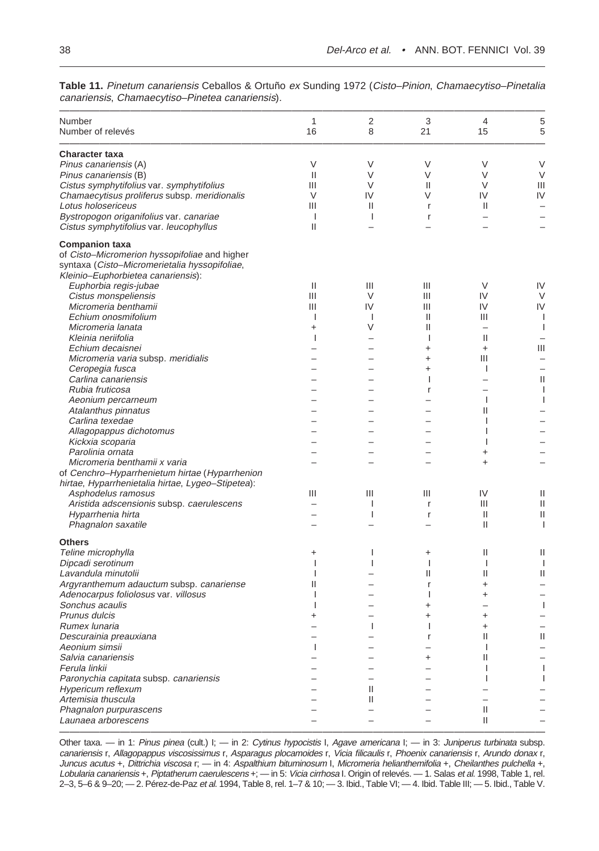———————————————————————————————————————————————— Number 1 2 3 4 5 Number of relevés 6 16 16 16 8 21 15 5 ———————————————————————————————————————————————— **Character taxa** Pinus canariensis (A) V V V V V Pinus canariensis (B)  $\qquad \qquad$  II V V V V V Cistus symphytifolius var. symphytifolius III V II V III Chamaecytisus proliferus subsp. meridionalis V IV V IV IV Lotus holosericeus III II r II – Bystropogon origanifolius var. canariae I I r–– Cistus symphytifolius var. leucophyllus II – – – – **Companion taxa** of Cisto–Micromerion hyssopifoliae and higher syntaxa (Cisto–Micromerietalia hyssopifoliae, Kleinio–Euphorbietea canariensis): Euphorbia regis-jubae II III III V IV Cistus monspeliensis III V III IV V Micromeria benthamii Echium onosmifolium and a service control in the service of the latter of the latter and the latter of the latter of the latter of the latter of the latter of the latter of the latter of the latter of the latter of the lat Micromeria lanata and the set of the set of the set of the set of the set of the set of the set of the set of the set of the set of the set of the set of the set of the set of the set of the set of the set of the set of th Kleinia neriifolia I – I II – Echium decaisnei ––++ III Micromeria varia subsp. meridialis ––+ III – Ceropegia fusca – international de la contrada de la contrada de la contrada de la contrada de la contrada de l Carlina canariensis – – I – II Rubia fruticosa –– r– I Aeonium percarneum ––– I I Atalanthus pinnatus – – – II – Carlina texedae ––– I– Allagopappus dichotomus ––– I– Kickxia scoparia ––– I– Parolinia ornata –––+– Micromeria benthamii x varia and the second variation of the second variation of the second variation of the second variation of the second variation of the second variation of the second variation of the second variation of Cenchro–Hyparrhenietum hirtae (Hyparrhenion hirtae, Hyparrhenietalia hirtae, Lygeo–Stipetea): Asphodelus ramosus and the control of the control of the control of the control of the control of the control o Aristida adscensionis subsp. caerulescens and the set of the set of the set of the set of the set of the set of the set of the set of the set of the set of the set of the set of the set of the set of the set of the set of Hyparrhenia hirta in a series in the series of the series of the series of the series of the series of the series of the series of the series of the series of the series of the series of the series of the series of the ser Phagnalon saxatile  $\qquad \qquad \qquad -$  II I **Others** Teline microphylla **in the set of the contract of the set of the set of the set of the contract of the set of the set of the set of the set of the set of the set of the set of the set of the set of the set of the set of th** Dipcadi serotinum IIIII Lavandula minutolii I – II II II Argyranthemum adauctum subsp. canariense II – – r + Adenocarpus foliolosus var. villosus I– I+– Sonchus acaulis I–+– I Prunus dulcis +–++– Rumex lunaria – I I+– Descurainia preauxiana internacionale e internacionale e internacionale e internacionale e internacionale e in Aeonium simsii I–– I– Salvia canariensis – – + II – Ferula linkii ––– I I Paronychia capitata subsp. canariensis  $\begin{array}{ccc} -&-&-&-&\end{array}$  Hypericum reflexum  $\begin{array}{ccc} -&-&-&\end{array}$ Hypericum reflexum – II – – – Artemisia thuscula – II – – – Phagnalon purpurascens – – – II – Launaea arborescens – – – II – ————————————————————————————————————————————————

**Table 11.** Pinetum canariensis Ceballos & Ortuño ex Sunding 1972 (Cisto–Pinion, Chamaecytiso–Pinetalia canariensis, Chamaecytiso–Pinetea canariensis).

Other taxa. — in 1: Pinus pinea (cult.) I; — in 2: Cytinus hypocistis I, Agave americana I; — in 3: Juniperus turbinata subsp. canariensis r, Allagopappus viscosissimus r, Asparagus plocamoides r, Vicia filicaulis r, Phoenix canariensis r, Arundo donax r, Juncus acutus +, Dittrichia viscosa r; — in 4: Aspalthium bituminosum I, Micromeria helianthemifolia +, Cheilanthes pulchella +, Lobularia canariensis +, Piptatherum caerulescens +; — in 5: Vicia cirrhosa I. Origin of relevés. — 1. Salas et al. 1998, Table 1, rel. 2–3, 5–6 & 9–20; — 2. Pérez-de-Paz et al. 1994, Table 8, rel. 1–7 & 10; — 3. Ibid., Table VI; — 4. Ibid. Table III; — 5. Ibid., Table V.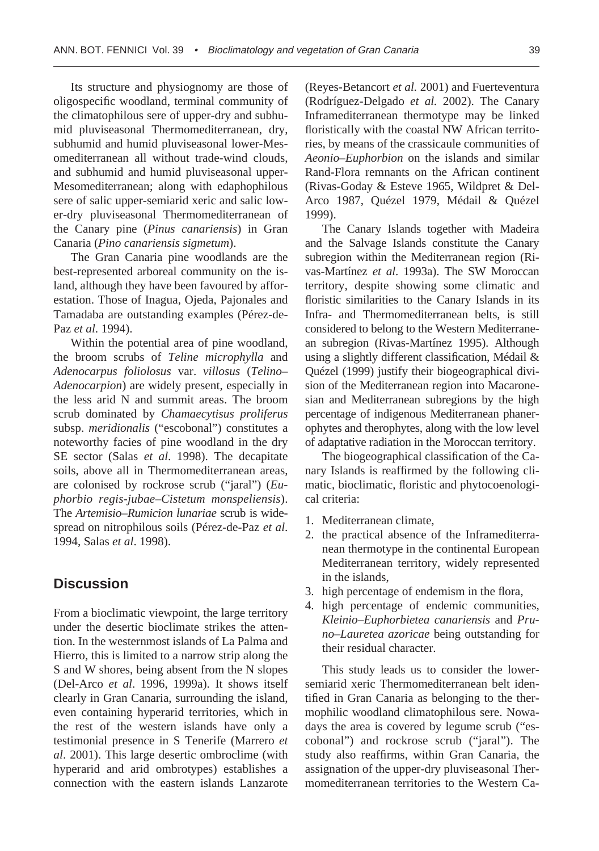Its structure and physiognomy are those of oligospecific woodland, terminal community of the climatophilous sere of upper-dry and subhumid pluviseasonal Thermomediterranean, dry, subhumid and humid pluviseasonal lower-Mesomediterranean all without trade-wind clouds, and subhumid and humid pluviseasonal upper-Mesomediterranean; along with edaphophilous sere of salic upper-semiarid xeric and salic lower-dry pluviseasonal Thermomediterranean of the Canary pine (*Pinus canariensis*) in Gran Canaria (*Pino canariensis sigmetum*).

The Gran Canaria pine woodlands are the best-represented arboreal community on the island, although they have been favoured by afforestation. Those of Inagua, Ojeda, Pajonales and Tamadaba are outstanding examples (Pérez-de-Paz *et al*. 1994).

Within the potential area of pine woodland, the broom scrubs of *Teline microphylla* and *Adenocarpus foliolosus* var. *villosus* (*Telino– Adenocarpion*) are widely present, especially in the less arid N and summit areas. The broom scrub dominated by *Chamaecytisus proliferus* subsp. *meridionalis* ("escobonal") constitutes a noteworthy facies of pine woodland in the dry SE sector (Salas *et al*. 1998). The decapitate soils, above all in Thermomediterranean areas, are colonised by rockrose scrub ("jaral") (*Euphorbio regis-jubae–Cistetum monspeliensis*). The *Artemisio–Rumicion lunariae* scrub is widespread on nitrophilous soils (Pérez-de-Paz *et al*. 1994, Salas *et al*. 1998).

# **Discussion**

From a bioclimatic viewpoint, the large territory under the desertic bioclimate strikes the attention. In the westernmost islands of La Palma and Hierro, this is limited to a narrow strip along the S and W shores, being absent from the N slopes (Del-Arco *et al*. 1996, 1999a). It shows itself clearly in Gran Canaria, surrounding the island, even containing hyperarid territories, which in the rest of the western islands have only a testimonial presence in S Tenerife (Marrero *et al*. 2001). This large desertic ombroclime (with hyperarid and arid ombrotypes) establishes a connection with the eastern islands Lanzarote

(Reyes-Betancort *et al.* 2001) and Fuerteventura (Rodríguez-Delgado *et al.* 2002). The Canary Inframediterranean thermotype may be linked floristically with the coastal NW African territories, by means of the crassicaule communities of *Aeonio–Euphorbion* on the islands and similar Rand-Flora remnants on the African continent (Rivas-Goday & Esteve 1965, Wildpret & Del-Arco 1987, Quézel 1979, Médail & Quézel 1999).

The Canary Islands together with Madeira and the Salvage Islands constitute the Canary subregion within the Mediterranean region (Rivas-Martínez *et al*. 1993a). The SW Moroccan territory, despite showing some climatic and floristic similarities to the Canary Islands in its Infra- and Thermomediterranean belts, is still considered to belong to the Western Mediterranean subregion (Rivas-Martínez 1995). Although using a slightly different classification, Médail & Quézel (1999) justify their biogeographical division of the Mediterranean region into Macaronesian and Mediterranean subregions by the high percentage of indigenous Mediterranean phanerophytes and therophytes, along with the low level of adaptative radiation in the Moroccan territory.

The biogeographical classification of the Canary Islands is reaffirmed by the following climatic, bioclimatic, floristic and phytocoenological criteria:

- 1. Mediterranean climate,
- 2. the practical absence of the Inframediterranean thermotype in the continental European Mediterranean territory, widely represented in the islands,
- 3. high percentage of endemism in the flora,
- 4. high percentage of endemic communities, *Kleinio–Euphorbietea canariensis* and *Pruno–Lauretea azoricae* being outstanding for their residual character.

This study leads us to consider the lowersemiarid xeric Thermomediterranean belt identified in Gran Canaria as belonging to the thermophilic woodland climatophilous sere. Nowadays the area is covered by legume scrub ("escobonal") and rockrose scrub ("jaral"). The study also reaffirms, within Gran Canaria, the assignation of the upper-dry pluviseasonal Thermomediterranean territories to the Western Ca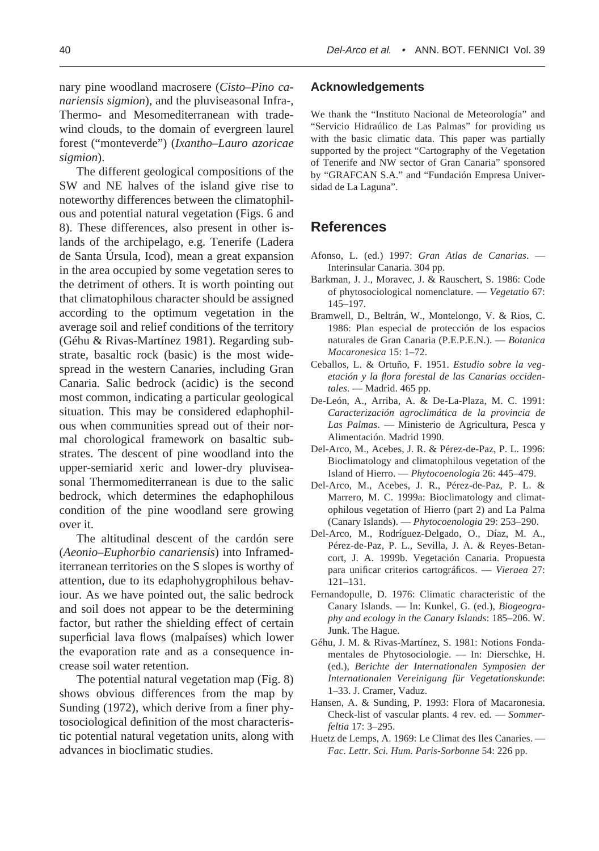40 Del-Arco et al. • ANN. BOT. FENNICI Vol. 39

nary pine woodland macrosere (*Cisto–Pino canariensis sigmion*), and the pluviseasonal Infra-, Thermo- and Mesomediterranean with tradewind clouds, to the domain of evergreen laurel forest ("monteverde") (*Ixantho–Lauro azoricae sigmion*).

The different geological compositions of the SW and NE halves of the island give rise to noteworthy differences between the climatophilous and potential natural vegetation (Figs. 6 and 8). These differences, also present in other islands of the archipelago, e.g. Tenerife (Ladera de Santa Úrsula, Icod), mean a great expansion in the area occupied by some vegetation seres to the detriment of others. It is worth pointing out that climatophilous character should be assigned according to the optimum vegetation in the average soil and relief conditions of the territory (Géhu & Rivas-Martínez 1981). Regarding substrate, basaltic rock (basic) is the most widespread in the western Canaries, including Gran Canaria. Salic bedrock (acidic) is the second most common, indicating a particular geological situation. This may be considered edaphophilous when communities spread out of their normal chorological framework on basaltic substrates. The descent of pine woodland into the upper-semiarid xeric and lower-dry pluviseasonal Thermomediterranean is due to the salic bedrock, which determines the edaphophilous condition of the pine woodland sere growing over it.

The altitudinal descent of the cardón sere (*Aeonio–Euphorbio canariensis*) into Inframediterranean territories on the S slopes is worthy of attention, due to its edaphohygrophilous behaviour. As we have pointed out, the salic bedrock and soil does not appear to be the determining factor, but rather the shielding effect of certain superficial lava flows (malpaíses) which lower the evaporation rate and as a consequence increase soil water retention.

The potential natural vegetation map (Fig. 8) shows obvious differences from the map by Sunding (1972), which derive from a finer phytosociological definition of the most characteristic potential natural vegetation units, along with advances in bioclimatic studies.

### **Acknowledgements**

We thank the "Instituto Nacional de Meteorología" and "Servicio Hidraúlico de Las Palmas" for providing us with the basic climatic data. This paper was partially supported by the project "Cartography of the Vegetation of Tenerife and NW sector of Gran Canaria" sponsored by "GRAFCAN S.A." and "Fundación Empresa Universidad de La Laguna".

## **References**

- Afonso, L. (ed.) 1997: *Gran Atlas de Canarias*. Interinsular Canaria. 304 pp.
- Barkman, J. J., Moravec, J. & Rauschert, S. 1986: Code of phytosociological nomenclature. — *Vegetatio* 67: 145–197.
- Bramwell, D., Beltrán, W., Montelongo, V. & Rios, C. 1986: Plan especial de protección de los espacios naturales de Gran Canaria (P.E.P.E.N.). — *Botanica Macaronesica* 15: 1–72.
- Ceballos, L. & Ortuño, F. 1951. *Estudio sobre la vegetación y la flora forestal de las Canarias occidentales*. — Madrid. 465 pp.
- De-León, A., Arriba, A. & De-La-Plaza, M. C. 1991: *Caracterización agroclimática de la provincia de Las Palmas*. — Ministerio de Agricultura, Pesca y Alimentación. Madrid 1990.
- Del-Arco, M., Acebes, J. R. & Pérez-de-Paz, P. L. 1996: Bioclimatology and climatophilous vegetation of the Island of Hierro. — *Phytocoenologia* 26: 445–479.
- Del-Arco, M., Acebes, J. R., Pérez-de-Paz, P. L. & Marrero, M. C. 1999a: Bioclimatology and climatophilous vegetation of Hierro (part 2) and La Palma (Canary Islands). — *Phytocoenologia* 29: 253–290.
- Del-Arco, M., Rodríguez-Delgado, O., Díaz, M. A., Pérez-de-Paz, P. L., Sevilla, J. A. & Reyes-Betancort, J. A. 1999b. Vegetación Canaria. Propuesta para unificar criterios cartográficos. — *Vieraea* 27: 121–131.
- Fernandopulle, D. 1976: Climatic characteristic of the Canary Islands. — In: Kunkel, G. (ed.), *Biogeography and ecology in the Canary Islands*: 185–206. W. Junk. The Hague.
- Géhu, J. M. & Rivas-Martínez, S. 1981: Notions Fondamentales de Phytosociologie. — In: Dierschke, H. (ed.), *Berichte der Internationalen Symposien der Internationalen Vereinigung für Vegetationskunde*: 1–33. J. Cramer, Vaduz.
- Hansen, A. & Sunding, P. 1993: Flora of Macaronesia. Check-list of vascular plants. 4 rev. ed. — *Sommerfeltia* 17: 3–295.
- Huetz de Lemps, A. 1969: Le Climat des Iles Canaries. *Fac. Lettr. Sci. Hum. Paris-Sorbonne* 54: 226 pp.